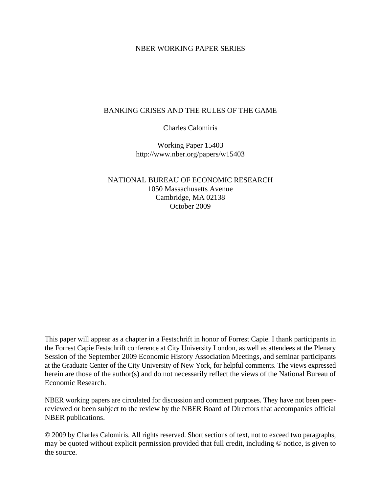## NBER WORKING PAPER SERIES

# BANKING CRISES AND THE RULES OF THE GAME

Charles Calomiris

Working Paper 15403 http://www.nber.org/papers/w15403

NATIONAL BUREAU OF ECONOMIC RESEARCH 1050 Massachusetts Avenue Cambridge, MA 02138 October 2009

This paper will appear as a chapter in a Festschrift in honor of Forrest Capie. I thank participants in the Forrest Capie Festschrift conference at City University London, as well as attendees at the Plenary Session of the September 2009 Economic History Association Meetings, and seminar participants at the Graduate Center of the City University of New York, for helpful comments. The views expressed herein are those of the author(s) and do not necessarily reflect the views of the National Bureau of Economic Research.

NBER working papers are circulated for discussion and comment purposes. They have not been peerreviewed or been subject to the review by the NBER Board of Directors that accompanies official NBER publications.

© 2009 by Charles Calomiris. All rights reserved. Short sections of text, not to exceed two paragraphs, may be quoted without explicit permission provided that full credit, including © notice, is given to the source.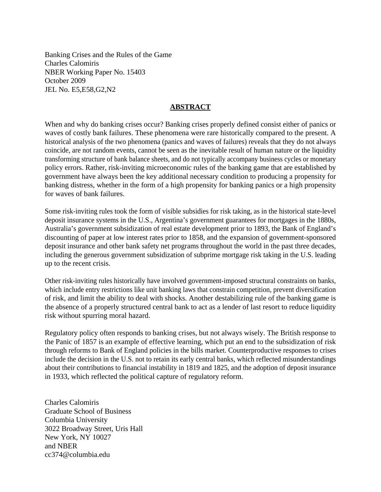Banking Crises and the Rules of the Game Charles Calomiris NBER Working Paper No. 15403 October 2009 JEL No. E5,E58,G2,N2

# **ABSTRACT**

When and why do banking crises occur? Banking crises properly defined consist either of panics or waves of costly bank failures. These phenomena were rare historically compared to the present. A historical analysis of the two phenomena (panics and waves of failures) reveals that they do not always coincide, are not random events, cannot be seen as the inevitable result of human nature or the liquidity transforming structure of bank balance sheets, and do not typically accompany business cycles or monetary policy errors. Rather, risk-inviting microeconomic rules of the banking game that are established by government have always been the key additional necessary condition to producing a propensity for banking distress, whether in the form of a high propensity for banking panics or a high propensity for waves of bank failures.

Some risk-inviting rules took the form of visible subsidies for risk taking, as in the historical state-level deposit insurance systems in the U.S., Argentina's government guarantees for mortgages in the 1880s, Australia's government subsidization of real estate development prior to 1893, the Bank of England's discounting of paper at low interest rates prior to 1858, and the expansion of government-sponsored deposit insurance and other bank safety net programs throughout the world in the past three decades, including the generous government subsidization of subprime mortgage risk taking in the U.S. leading up to the recent crisis.

Other risk-inviting rules historically have involved government-imposed structural constraints on banks, which include entry restrictions like unit banking laws that constrain competition, prevent diversification of risk, and limit the ability to deal with shocks. Another destabilizing rule of the banking game is the absence of a properly structured central bank to act as a lender of last resort to reduce liquidity risk without spurring moral hazard.

Regulatory policy often responds to banking crises, but not always wisely. The British response to the Panic of 1857 is an example of effective learning, which put an end to the subsidization of risk through reforms to Bank of England policies in the bills market. Counterproductive responses to crises include the decision in the U.S. not to retain its early central banks, which reflected misunderstandings about their contributions to financial instability in 1819 and 1825, and the adoption of deposit insurance in 1933, which reflected the political capture of regulatory reform.

Charles Calomiris Graduate School of Business Columbia University 3022 Broadway Street, Uris Hall New York, NY 10027 and NBER cc374@columbia.edu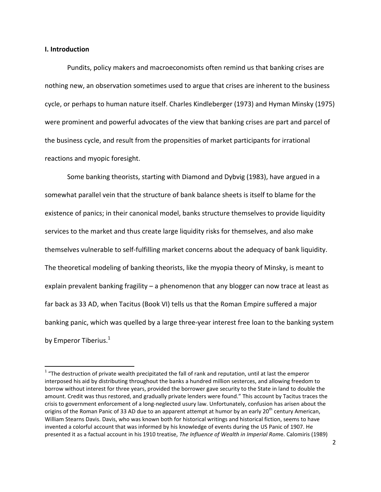## **I. Introduction**

Pundits, policy makers and macroeconomists often remind us that banking crises are nothing new, an observation sometimes used to argue that crises are inherent to the business cycle, or perhaps to human nature itself. Charles Kindleberger (1973) and Hyman Minsky (1975) were prominent and powerful advocates of the view that banking crises are part and parcel of the business cycle, and result from the propensities of market participants for irrational reactions and myopic foresight.

Some banking theorists, starting with Diamond and Dybvig (1983), have argued in a somewhat parallel vein that the structure of bank balance sheets is itself to blame for the existence of panics; in their canonical model, banks structure themselves to provide liquidity services to the market and thus create large liquidity risks for themselves, and also make themselves vulnerable to self‐fulfilling market concerns about the adequacy of bank liquidity. The theoretical modeling of banking theorists, like the myopia theory of Minsky, is meant to explain prevalent banking fragility – a phenomenon that any blogger can now trace at least as far back as 33 AD, when Tacitus (Book VI) tells us that the Roman Empire suffered a major banking panic, which was quelled by a large three‐year interest free loan to the banking system by Emperor Tiberius. $^1$ 

 $1$  "The destruction of private wealth precipitated the fall of rank and reputation, until at last the emperor interposed his aid by distributing throughout the banks a hundred million sesterces, and allowing freedom to borrow without interest for three years, provided the borrower gave security to the State in land to double the amount. Credit was thus restored, and gradually private lenders were found." This account by Tacitus traces the crisis to government enforcement of a long‐neglected usury law. Unfortunately, confusion has arisen about the origins of the Roman Panic of 33 AD due to an apparent attempt at humor by an early 20<sup>th</sup> century American, William Stearns Davis. Davis, who was known both for historical writings and historical fiction, seems to have invented a colorful account that was informed by his knowledge of events during the US Panic of 1907. He presented it as a factual account in his 1910 treatise, *The Influence of Wealth in Imperial Rom*e. Calomiris (1989)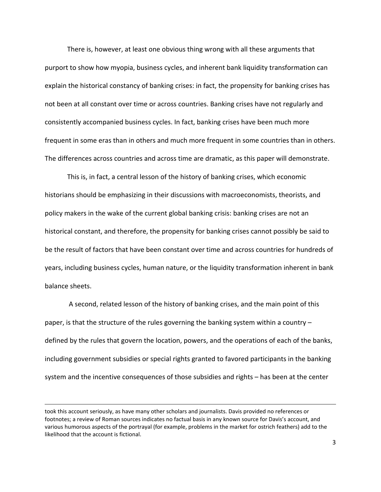There is, however, at least one obvious thing wrong with all these arguments that purport to show how myopia, business cycles, and inherent bank liquidity transformation can explain the historical constancy of banking crises: in fact, the propensity for banking crises has not been at all constant over time or across countries. Banking crises have not regularly and consistently accompanied business cycles. In fact, banking crises have been much more frequent in some eras than in others and much more frequent in some countries than in others. The differences across countries and across time are dramatic, as this paper will demonstrate.

This is, in fact, a central lesson of the history of banking crises, which economic historians should be emphasizing in their discussions with macroeconomists, theorists, and policy makers in the wake of the current global banking crisis: banking crises are not an historical constant, and therefore, the propensity for banking crises cannot possibly be said to be the result of factors that have been constant over time and across countries for hundreds of years, including business cycles, human nature, or the liquidity transformation inherent in bank balance sheets.

A second, related lesson of the history of banking crises, and the main point of this paper, is that the structure of the rules governing the banking system within a country – defined by the rules that govern the location, powers, and the operations of each of the banks, including government subsidies or special rights granted to favored participants in the banking system and the incentive consequences of those subsidies and rights – has been at the center

<u> 1989 - Johann Stein, marwolaethau a gweledydd a ganlad y ganlad y ganlad y ganlad y ganlad y ganlad y ganlad</u>

took this account seriously, as have many other scholars and journalists. Davis provided no references or footnotes; a review of Roman sources indicates no factual basis in any known source for Davis's account, and various humorous aspects of the portrayal (for example, problems in the market for ostrich feathers) add to the likelihood that the account is fictional.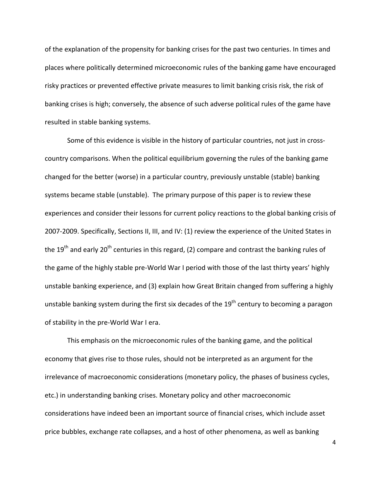of the explanation of the propensity for banking crises for the past two centuries. In times and places where politically determined microeconomic rules of the banking game have encouraged risky practices or prevented effective private measures to limit banking crisis risk, the risk of banking crises is high; conversely, the absence of such adverse political rules of the game have resulted in stable banking systems.

Some of this evidence is visible in the history of particular countries, not just in crosscountry comparisons. When the political equilibrium governing the rules of the banking game changed for the better (worse) in a particular country, previously unstable (stable) banking systems became stable (unstable). The primary purpose of this paper is to review these experiences and consider their lessons for current policy reactions to the global banking crisis of 2007‐2009. Specifically, Sections II, III, and IV: (1) review the experience of the United States in the 19<sup>th</sup> and early 20<sup>th</sup> centuries in this regard, (2) compare and contrast the banking rules of the game of the highly stable pre‐World War I period with those of the last thirty years' highly unstable banking experience, and (3) explain how Great Britain changed from suffering a highly unstable banking system during the first six decades of the  $19<sup>th</sup>$  century to becoming a paragon of stability in the pre‐World War I era.

This emphasis on the microeconomic rules of the banking game, and the political economy that gives rise to those rules, should not be interpreted as an argument for the irrelevance of macroeconomic considerations (monetary policy, the phases of business cycles, etc.) in understanding banking crises. Monetary policy and other macroeconomic considerations have indeed been an important source of financial crises, which include asset price bubbles, exchange rate collapses, and a host of other phenomena, as well as banking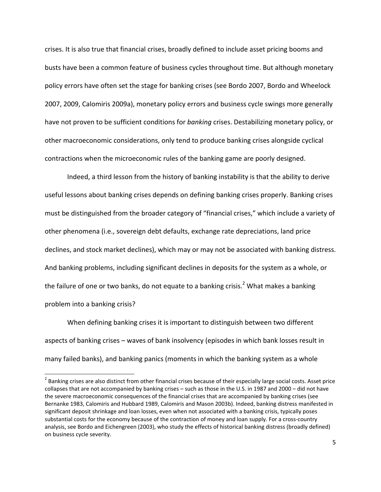crises. It is also true that financial crises, broadly defined to include asset pricing booms and busts have been a common feature of business cycles throughout time. But although monetary policy errors have often set the stage for banking crises (see Bordo 2007, Bordo and Wheelock 2007, 2009, Calomiris 2009a), monetary policy errors and business cycle swings more generally have not proven to be sufficient conditions for *banking* crises. Destabilizing monetary policy, or other macroeconomic considerations, only tend to produce banking crises alongside cyclical contractions when the microeconomic rules of the banking game are poorly designed.

Indeed, a third lesson from the history of banking instability is that the ability to derive useful lessons about banking crises depends on defining banking crises properly. Banking crises must be distinguished from the broader category of "financial crises," which include a variety of other phenomena (i.e., sovereign debt defaults, exchange rate depreciations, land price declines, and stock market declines), which may or may not be associated with banking distress. And banking problems, including significant declines in deposits for the system as a whole, or the failure of one or two banks, do not equate to a banking crisis.<sup>2</sup> What makes a banking problem into a banking crisis?

When defining banking crises it is important to distinguish between two different aspects of banking crises – waves of bank insolvency (episodes in which bank losses result in many failed banks), and banking panics (moments in which the banking system as a whole

<sup>&</sup>lt;sup>2</sup> Banking crises are also distinct from other financial crises because of their especially large social costs. Asset price collapses that are not accompanied by banking crises – such as those in the U.S. in 1987 and 2000 – did not have the severe macroeconomic consequences of the financial crises that are accompanied by banking crises (see Bernanke 1983, Calomiris and Hubbard 1989, Calomiris and Mason 2003b). Indeed, banking distress manifested in significant deposit shrinkage and loan losses, even when not associated with a banking crisis, typically poses substantial costs for the economy because of the contraction of money and loan supply. For a cross-country analysis, see Bordo and Eichengreen (2003), who study the effects of historical banking distress (broadly defined) on business cycle severity.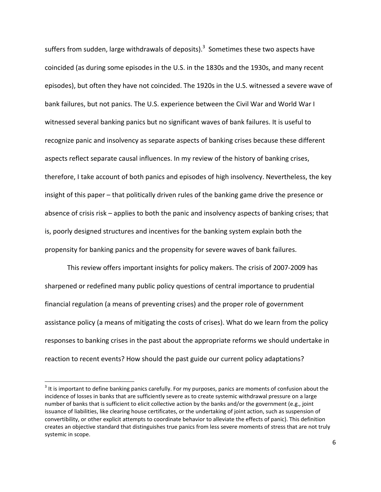suffers from sudden, large withdrawals of deposits).<sup>3</sup> Sometimes these two aspects have coincided (as during some episodes in the U.S. in the 1830s and the 1930s, and many recent episodes), but often they have not coincided. The 1920s in the U.S. witnessed a severe wave of bank failures, but not panics. The U.S. experience between the Civil War and World War I witnessed several banking panics but no significant waves of bank failures. It is useful to recognize panic and insolvency as separate aspects of banking crises because these different aspects reflect separate causal influences. In my review of the history of banking crises, therefore, I take account of both panics and episodes of high insolvency. Nevertheless, the key insight of this paper – that politically driven rules of the banking game drive the presence or absence of crisis risk – applies to both the panic and insolvency aspects of banking crises; that is, poorly designed structures and incentives for the banking system explain both the propensity for banking panics and the propensity for severe waves of bank failures.

This review offers important insights for policy makers. The crisis of 2007‐2009 has sharpened or redefined many public policy questions of central importance to prudential financial regulation (a means of preventing crises) and the proper role of government assistance policy (a means of mitigating the costs of crises). What do we learn from the policy responses to banking crises in the past about the appropriate reforms we should undertake in reaction to recent events? How should the past guide our current policy adaptations?

 $3$  It is important to define banking panics carefully. For my purposes, panics are moments of confusion about the incidence of losses in banks that are sufficiently severe as to create systemic withdrawal pressure on a large number of banks that is sufficient to elicit collective action by the banks and/or the government (e.g., joint issuance of liabilities, like clearing house certificates, or the undertaking of joint action, such as suspension of convertibility, or other explicit attempts to coordinate behavior to alleviate the effects of panic). This definition creates an objective standard that distinguishes true panics from less severe moments of stress that are not truly systemic in scope.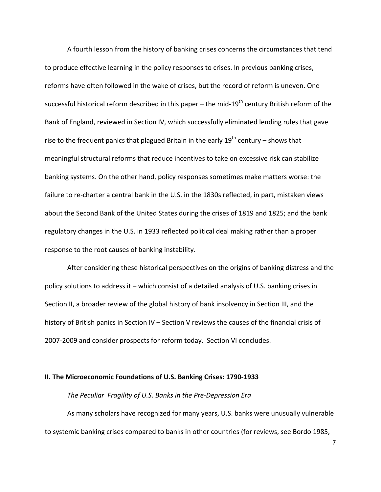A fourth lesson from the history of banking crises concerns the circumstances that tend to produce effective learning in the policy responses to crises. In previous banking crises, reforms have often followed in the wake of crises, but the record of reform is uneven. One successful historical reform described in this paper – the mid-19<sup>th</sup> century British reform of the Bank of England, reviewed in Section IV, which successfully eliminated lending rules that gave rise to the frequent panics that plagued Britain in the early  $19<sup>th</sup>$  century – shows that meaningful structural reforms that reduce incentives to take on excessive risk can stabilize banking systems. On the other hand, policy responses sometimes make matters worse: the failure to re-charter a central bank in the U.S. in the 1830s reflected, in part, mistaken views about the Second Bank of the United States during the crises of 1819 and 1825; and the bank regulatory changes in the U.S. in 1933 reflected political deal making rather than a proper response to the root causes of banking instability.

After considering these historical perspectives on the origins of banking distress and the policy solutions to address it – which consist of a detailed analysis of U.S. banking crises in Section II, a broader review of the global history of bank insolvency in Section III, and the history of British panics in Section IV – Section V reviews the causes of the financial crisis of 2007‐2009 and consider prospects for reform today. Section VI concludes.

#### **II. The Microeconomic Foundations of U.S. Banking Crises: 1790‐1933**

*The Peculiar Fragility of U.S. Banks in the Pre‐Depression Era*

As many scholars have recognized for many years, U.S. banks were unusually vulnerable to systemic banking crises compared to banks in other countries (for reviews, see Bordo 1985,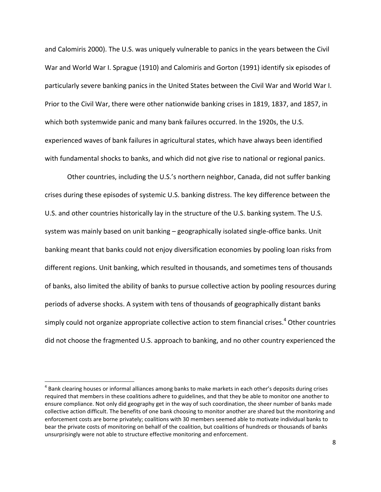and Calomiris 2000). The U.S. was uniquely vulnerable to panics in the years between the Civil War and World War I. Sprague (1910) and Calomiris and Gorton (1991) identify six episodes of particularly severe banking panics in the United States between the Civil War and World War I. Prior to the Civil War, there were other nationwide banking crises in 1819, 1837, and 1857, in which both systemwide panic and many bank failures occurred. In the 1920s, the U.S. experienced waves of bank failures in agricultural states, which have always been identified with fundamental shocks to banks, and which did not give rise to national or regional panics.

Other countries, including the U.S.'s northern neighbor, Canada, did not suffer banking crises during these episodes of systemic U.S. banking distress. The key difference between the U.S. and other countries historically lay in the structure of the U.S. banking system. The U.S. system was mainly based on unit banking – geographically isolated single‐office banks. Unit banking meant that banks could not enjoy diversification economies by pooling loan risks from different regions. Unit banking, which resulted in thousands, and sometimes tens of thousands of banks, also limited the ability of banks to pursue collective action by pooling resources during periods of adverse shocks. A system with tens of thousands of geographically distant banks simply could not organize appropriate collective action to stem financial crises.<sup>4</sup> Other countries did not choose the fragmented U.S. approach to banking, and no other country experienced the

<sup>&</sup>lt;sup>4</sup> Bank clearing houses or informal alliances among banks to make markets in each other's deposits during crises required that members in these coalitions adhere to guidelines, and that they be able to monitor one another to ensure compliance. Not only did geography get in the way of such coordination, the sheer number of banks made collective action difficult. The benefits of one bank choosing to monitor another are shared but the monitoring and enforcement costs are borne privately; coalitions with 30 members seemed able to motivate individual banks to bear the private costs of monitoring on behalf of the coalition, but coalitions of hundreds or thousands of banks unsurprisingly were not able to structure effective monitoring and enforcement.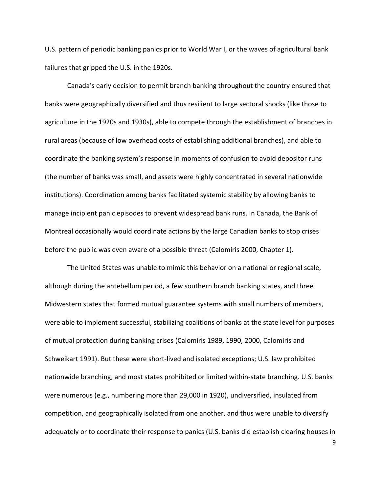U.S. pattern of periodic banking panics prior to World War I, or the waves of agricultural bank failures that gripped the U.S. in the 1920s.

Canada's early decision to permit branch banking throughout the country ensured that banks were geographically diversified and thus resilient to large sectoral shocks (like those to agriculture in the 1920s and 1930s), able to compete through the establishment of branches in rural areas (because of low overhead costs of establishing additional branches), and able to coordinate the banking system's response in moments of confusion to avoid depositor runs (the number of banks was small, and assets were highly concentrated in several nationwide institutions). Coordination among banks facilitated systemic stability by allowing banks to manage incipient panic episodes to prevent widespread bank runs. In Canada, the Bank of Montreal occasionally would coordinate actions by the large Canadian banks to stop crises before the public was even aware of a possible threat (Calomiris 2000, Chapter 1).

The United States was unable to mimic this behavior on a national or regional scale, although during the antebellum period, a few southern branch banking states, and three Midwestern states that formed mutual guarantee systems with small numbers of members, were able to implement successful, stabilizing coalitions of banks at the state level for purposes of mutual protection during banking crises (Calomiris 1989, 1990, 2000, Calomiris and Schweikart 1991). But these were short‐lived and isolated exceptions; U.S. law prohibited nationwide branching, and most states prohibited or limited within‐state branching. U.S. banks were numerous (e.g., numbering more than 29,000 in 1920), undiversified, insulated from competition, and geographically isolated from one another, and thus were unable to diversify adequately or to coordinate their response to panics (U.S. banks did establish clearing houses in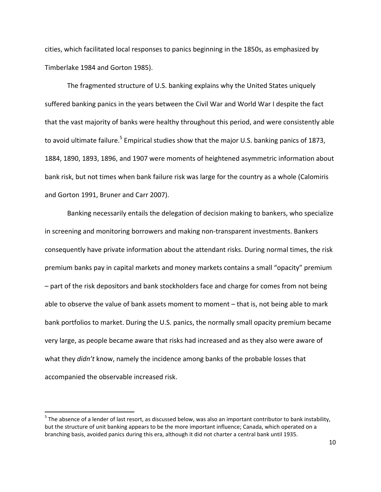cities, which facilitated local responses to panics beginning in the 1850s, as emphasized by Timberlake 1984 and Gorton 1985).

The fragmented structure of U.S. banking explains why the United States uniquely suffered banking panics in the years between the Civil War and World War I despite the fact that the vast majority of banks were healthy throughout this period, and were consistently able to avoid ultimate failure.<sup>5</sup> Empirical studies show that the major U.S. banking panics of 1873, 1884, 1890, 1893, 1896, and 1907 were moments of heightened asymmetric information about bank risk, but not times when bank failure risk was large for the country as a whole (Calomiris and Gorton 1991, Bruner and Carr 2007).

Banking necessarily entails the delegation of decision making to bankers, who specialize in screening and monitoring borrowers and making non-transparent investments. Bankers consequently have private information about the attendant risks. During normal times, the risk premium banks pay in capital markets and money markets contains a small "opacity" premium – part of the risk depositors and bank stockholders face and charge for comes from not being able to observe the value of bank assets moment to moment – that is, not being able to mark bank portfolios to market. During the U.S. panics, the normally small opacity premium became very large, as people became aware that risks had increased and as they also were aware of what they *didn't* know, namely the incidence among banks of the probable losses that accompanied the observable increased risk.

 $5$  The absence of a lender of last resort, as discussed below, was also an important contributor to bank instability, but the structure of unit banking appears to be the more important influence; Canada, which operated on a branching basis, avoided panics during this era, although it did not charter a central bank until 1935.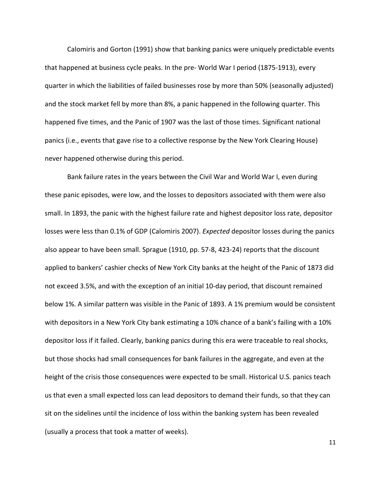Calomiris and Gorton (1991) show that banking panics were uniquely predictable events that happened at business cycle peaks. In the pre‐ World War I period (1875‐1913), every quarter in which the liabilities of failed businesses rose by more than 50% (seasonally adjusted) and the stock market fell by more than 8%, a panic happened in the following quarter. This happened five times, and the Panic of 1907 was the last of those times. Significant national panics (i.e., events that gave rise to a collective response by the New York Clearing House) never happened otherwise during this period.

Bank failure rates in the years between the Civil War and World War I, even during these panic episodes, were low, and the losses to depositors associated with them were also small. In 1893, the panic with the highest failure rate and highest depositor loss rate, depositor losses were less than 0.1% of GDP (Calomiris 2007). *Expected* depositor losses during the panics also appear to have been small. Sprague (1910, pp. 57‐8, 423‐24) reports that the discount applied to bankers' cashier checks of New York City banks at the height of the Panic of 1873 did not exceed 3.5%, and with the exception of an initial 10‐day period, that discount remained below 1%. A similar pattern was visible in the Panic of 1893. A 1% premium would be consistent with depositors in a New York City bank estimating a 10% chance of a bank's failing with a 10% depositor loss if it failed. Clearly, banking panics during this era were traceable to real shocks, but those shocks had small consequences for bank failures in the aggregate, and even at the height of the crisis those consequences were expected to be small. Historical U.S. panics teach us that even a small expected loss can lead depositors to demand their funds, so that they can sit on the sidelines until the incidence of loss within the banking system has been revealed (usually a process that took a matter of weeks).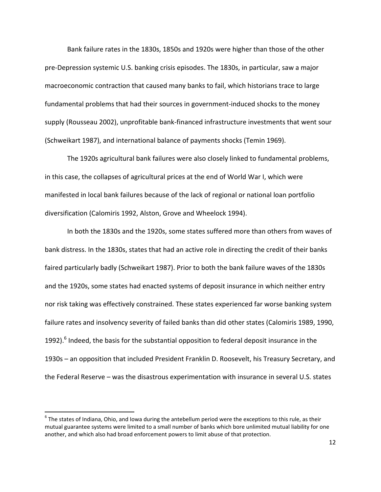Bank failure rates in the 1830s, 1850s and 1920s were higher than those of the other pre‐Depression systemic U.S. banking crisis episodes. The 1830s, in particular, saw a major macroeconomic contraction that caused many banks to fail, which historians trace to large fundamental problems that had their sources in government-induced shocks to the money supply (Rousseau 2002), unprofitable bank‐financed infrastructure investments that went sour (Schweikart 1987), and international balance of payments shocks (Temin 1969).

The 1920s agricultural bank failures were also closely linked to fundamental problems, in this case, the collapses of agricultural prices at the end of World War I, which were manifested in local bank failures because of the lack of regional or national loan portfolio diversification (Calomiris 1992, Alston, Grove and Wheelock 1994).

In both the 1830s and the 1920s, some states suffered more than others from waves of bank distress. In the 1830s, states that had an active role in directing the credit of their banks faired particularly badly (Schweikart 1987). Prior to both the bank failure waves of the 1830s and the 1920s, some states had enacted systems of deposit insurance in which neither entry nor risk taking was effectively constrained. These states experienced far worse banking system failure rates and insolvency severity of failed banks than did other states (Calomiris 1989, 1990, 1992).<sup>6</sup> Indeed, the basis for the substantial opposition to federal deposit insurance in the 1930s – an opposition that included President Franklin D. Roosevelt, his Treasury Secretary, and the Federal Reserve – was the disastrous experimentation with insurance in several U.S. states

 $6$  The states of Indiana, Ohio, and Iowa during the antebellum period were the exceptions to this rule, as their mutual guarantee systems were limited to a small number of banks which bore unlimited mutual liability for one another, and which also had broad enforcement powers to limit abuse of that protection.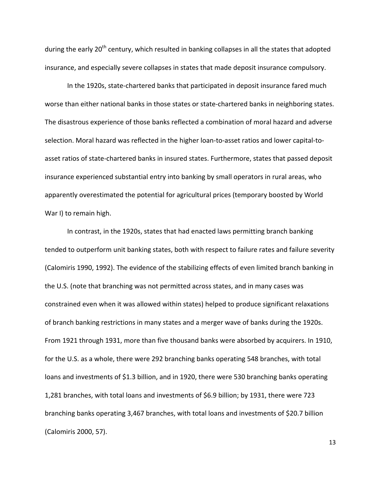during the early 20<sup>th</sup> century, which resulted in banking collapses in all the states that adopted insurance, and especially severe collapses in states that made deposit insurance compulsory.

In the 1920s, state‐chartered banks that participated in deposit insurance fared much worse than either national banks in those states or state‐chartered banks in neighboring states. The disastrous experience of those banks reflected a combination of moral hazard and adverse selection. Moral hazard was reflected in the higher loan-to-asset ratios and lower capital-toasset ratios of state‐chartered banks in insured states. Furthermore, states that passed deposit insurance experienced substantial entry into banking by small operators in rural areas, who apparently overestimated the potential for agricultural prices (temporary boosted by World War I) to remain high.

In contrast, in the 1920s, states that had enacted laws permitting branch banking tended to outperform unit banking states, both with respect to failure rates and failure severity (Calomiris 1990, 1992). The evidence of the stabilizing effects of even limited branch banking in the U.S. (note that branching was not permitted across states, and in many cases was constrained even when it was allowed within states) helped to produce significant relaxations of branch banking restrictions in many states and a merger wave of banks during the 1920s. From 1921 through 1931, more than five thousand banks were absorbed by acquirers. In 1910, for the U.S. as a whole, there were 292 branching banks operating 548 branches, with total loans and investments of \$1.3 billion, and in 1920, there were 530 branching banks operating 1,281 branches, with total loans and investments of \$6.9 billion; by 1931, there were 723 branching banks operating 3,467 branches, with total loans and investments of \$20.7 billion (Calomiris 2000, 57).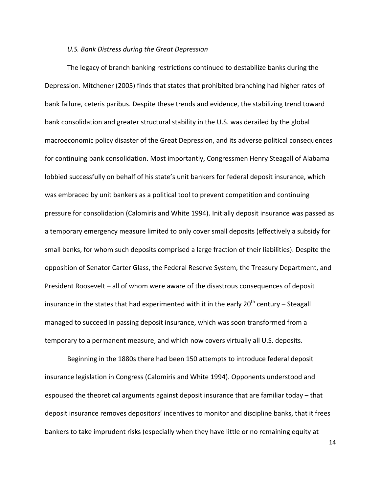#### *U.S. Bank Distress during the Great Depression*

The legacy of branch banking restrictions continued to destabilize banks during the Depression. Mitchener (2005) finds that states that prohibited branching had higher rates of bank failure, ceteris paribus. Despite these trends and evidence, the stabilizing trend toward bank consolidation and greater structural stability in the U.S. was derailed by the global macroeconomic policy disaster of the Great Depression, and its adverse political consequences for continuing bank consolidation. Most importantly, Congressmen Henry Steagall of Alabama lobbied successfully on behalf of his state's unit bankers for federal deposit insurance, which was embraced by unit bankers as a political tool to prevent competition and continuing pressure for consolidation (Calomiris and White 1994). Initially deposit insurance was passed as a temporary emergency measure limited to only cover small deposits (effectively a subsidy for small banks, for whom such deposits comprised a large fraction of their liabilities). Despite the opposition of Senator Carter Glass, the Federal Reserve System, the Treasury Department, and President Roosevelt – all of whom were aware of the disastrous consequences of deposit insurance in the states that had experimented with it in the early  $20<sup>th</sup>$  century – Steagall managed to succeed in passing deposit insurance, which was soon transformed from a temporary to a permanent measure, and which now covers virtually all U.S. deposits.

Beginning in the 1880s there had been 150 attempts to introduce federal deposit insurance legislation in Congress (Calomiris and White 1994). Opponents understood and espoused the theoretical arguments against deposit insurance that are familiar today – that deposit insurance removes depositors' incentives to monitor and discipline banks, that it frees bankers to take imprudent risks (especially when they have little or no remaining equity at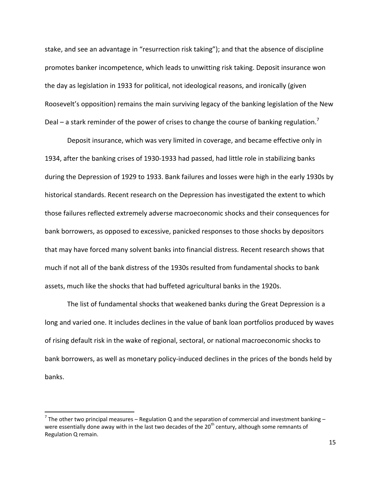stake, and see an advantage in "resurrection risk taking"); and that the absence of discipline promotes banker incompetence, which leads to unwitting risk taking. Deposit insurance won the day as legislation in 1933 for political, not ideological reasons, and ironically (given Roosevelt's opposition) remains the main surviving legacy of the banking legislation of the New Deal – a stark reminder of the power of crises to change the course of banking regulation.<sup>7</sup>

Deposit insurance, which was very limited in coverage, and became effective only in 1934, after the banking crises of 1930‐1933 had passed, had little role in stabilizing banks during the Depression of 1929 to 1933. Bank failures and losses were high in the early 1930s by historical standards. Recent research on the Depression has investigated the extent to which those failures reflected extremely adverse macroeconomic shocks and their consequences for bank borrowers, as opposed to excessive, panicked responses to those shocks by depositors that may have forced many solvent banks into financial distress. Recent research shows that much if not all of the bank distress of the 1930s resulted from fundamental shocks to bank assets, much like the shocks that had buffeted agricultural banks in the 1920s.

The list of fundamental shocks that weakened banks during the Great Depression is a long and varied one. It includes declines in the value of bank loan portfolios produced by waves of rising default risk in the wake of regional, sectoral, or national macroeconomic shocks to bank borrowers, as well as monetary policy-induced declines in the prices of the bonds held by banks.

 $<sup>7</sup>$  The other two principal measures – Regulation Q and the separation of commercial and investment banking –</sup> were essentially done away with in the last two decades of the  $20<sup>th</sup>$  century, although some remnants of Regulation Q remain.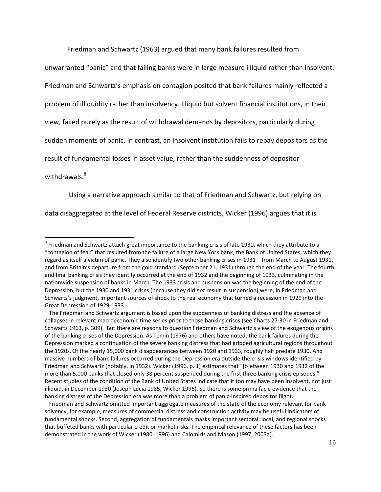Friedman and Schwartz (1963) argued that many bank failures resulted from

unwarranted "panic" and that failing banks were in large measure illiquid rather than insolvent. Friedman and Schwartz's emphasis on contagion posited that bank failures mainly reflected a problem of illiquidity rather than insolvency. Illiquid but solvent financial institutions, in their view, failed purely as the result of withdrawal demands by depositors, particularly during sudden moments of panic. In contrast, an insolvent institution fails to repay depositors as the result of fundamental losses in asset value, rather than the suddenness of depositor withdrawals.<sup>8</sup>

Using a narrative approach similar to that of Friedman and Schwartz, but relying on

data disaggregated at the level of Federal Reserve districts, Wicker (1996) argues that it is

 $8$  Friedman and Schwartz attach great importance to the banking crisis of late 1930, which they attribute to a "contagion of fear" that resulted from the failure of a large New York bank, the Bank of United States, which they regard as itself a victim of panic. They also identify two other banking crises in 1931 – from March to August 1931, and from Britain's departure from the gold standard (September 21, 1931) through the end of the year. The fourth and final banking crisis they identify occurred at the end of 1932 and the beginning of 1933, culminating in the nationwide suspension of banks in March. The 1933 crisis and suspension was the beginning of the end of the Depression, but the 1930 and 1931 crises (because they did *not* result in suspension) were, in Friedman and Schwartz's judgment, important sources of shock to the real economy that turned a recession in 1929 into the Great Depression of 1929‐1933.

The Friedman and Schwartz argument is based upon the suddenness of banking distress and the absence of collapses in relevant macroeconomic time series prior to those banking crises (see Charts 27‐30 in Friedman and Schwartz 1963, p. 309). But there are reasons to question Friedman and Schwartz's view of the exogenous origins of the banking crises of the Depression. As Temin (1976) and others have noted, the bank failures during the Depression marked a continuation of the severe banking distress that had gripped agricultural regions throughout the 1920s.Of the nearly 15,000 bank disappearances between 1920 and 1933, roughly half predate 1930. And massive numbers of bank failures occurred during the Depression era outside the crisis windows identified by Friedman and Schwartz (notably, in 1932). Wicker (1996, p. 1) estimates that "[b]etween 1930 and 1932 of the more than 5,000 banks that closed only 38 percent suspended during the first three banking crisis episodes." Recent studies of the condition of the Bank of United States indicate that it too may have been insolvent, not just illiquid, in December 1930 (Joseph Lucia 1985, Wicker 1996). So there is some prima facie evidence that the banking distress of the Depression era was more than a problem of panic‐inspired depositor flight.

Friedman and Schwartz omitted important aggregate measures of the state of the economy relevant for bank solvency, for example, measures of commercial distress and construction activity may be useful indicators of fundamental shocks. Second, aggregation of fundamentals masks important sectoral, local, and regional shocks that buffeted banks with particular credit or market risks. The empirical relevance of these factors has been demonstrated in the work of Wicker (1980, 1996) and Calomiris and Mason (1997, 2003a).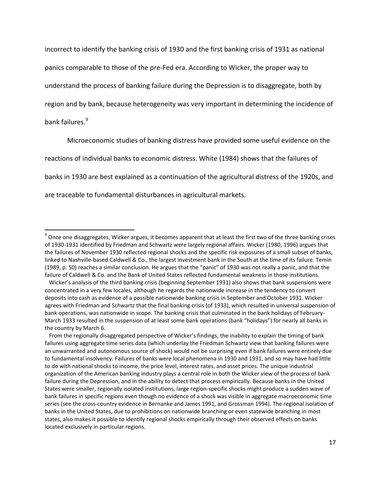incorrect to identify the banking crisis of 1930 and the first banking crisis of 1931 as national panics comparable to those of the pre‐Fed era. According to Wicker, the proper way to understand the process of banking failure during the Depression is to disaggregate, both by region and by bank, because heterogeneity was very important in determining the incidence of bank failures.<sup>9</sup>

Microeconomic studies of banking distress have provided some useful evidence on the reactions of individual banks to economic distress. White (1984) shows that the failures of banks in 1930 are best explained as a continuation of the agricultural distress of the 1920s, and are traceable to fundamental disturbances in agricultural markets.

 $9$  Once one disaggregates, Wicker argues, it becomes apparent that at least the first two of the three banking crises of 1930‐1931 identified by Friedman and Schwartz were largely regional affairs. Wicker (1980, 1996) argues that the failures of November 1930 reflected regional shocks and the specific risk exposures of a small subset of banks, linked to Nashville-based Caldwell & Co., the largest investment bank in the South at the time of its failure. Temin (1989, p. 50) reaches a similar conclusion. He argues that the "panic" of 1930 was not really a panic, and that the failure of Caldwell & Co. and the Bank of United States reflected fundamental weakness in those institutions.

Wicker's analysis of the third banking crisis (beginning September 1931) also shows that bank suspensions were concentrated in a very few locales, although he regards the nationwide increase in the tendency to convert deposits into cash as evidence of a possible nationwide banking crisis in September and October 1931. Wicker agrees with Friedman and Schwartz that the final banking crisis (of 1933), which resulted in universal suspension of bank operations, was nationwide in scope. The banking crisis that culminated in the bank holidays of February‐ March 1933 resulted in the suspension of at least some bank operations (bank "holidays") for nearly all banks in the country by March 6.

From the regionally disaggregated perspective of Wicker's findings, the inability to explain the timing of bank failures using aggregate time series data (which underlay the Friedman Schwartz view that banking failures were an unwarranted and autonomous source of shock) would not be surprising even if bank failures were entirely due to fundamental insolvency. Failures of banks were local phenomena in 1930 and 1931, and so may have had little to do with national shocks to income, the price level, interest rates, and asset prices. The unique industrial organization of the American banking industry plays a central role in both the Wicker view of the process of bank failure during the Depression, and in the ability to detect that process empirically. Because banks in the United States were smaller, regionally isolated institutions, large region‐specific shocks might produce a sudden wave of bank failures in specific regions even though no evidence of a shock was visible in aggregate macroeconomic time series (see the cross-country evidence in Bernanke and James 1991, and Grossman 1994). The regional isolation of banks in the United States, due to prohibitions on nationwide branching or even statewide branching in most states, also makes it possible to identify regional shocks empirically through their observed effects on banks located exclusively in particular regions.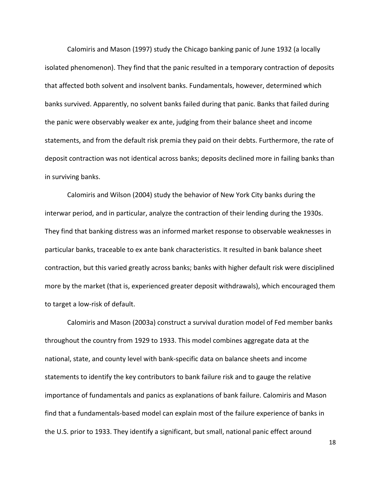Calomiris and Mason (1997) study the Chicago banking panic of June 1932 (a locally isolated phenomenon). They find that the panic resulted in a temporary contraction of deposits that affected both solvent and insolvent banks. Fundamentals, however, determined which banks survived. Apparently, no solvent banks failed during that panic. Banks that failed during the panic were observably weaker ex ante, judging from their balance sheet and income statements, and from the default risk premia they paid on their debts. Furthermore, the rate of deposit contraction was not identical across banks; deposits declined more in failing banks than in surviving banks.

Calomiris and Wilson (2004) study the behavior of New York City banks during the interwar period, and in particular, analyze the contraction of their lending during the 1930s. They find that banking distress was an informed market response to observable weaknesses in particular banks, traceable to ex ante bank characteristics. It resulted in bank balance sheet contraction, but this varied greatly across banks; banks with higher default risk were disciplined more by the market (that is, experienced greater deposit withdrawals), which encouraged them to target a low‐risk of default.

Calomiris and Mason (2003a) construct a survival duration model of Fed member banks throughout the country from 1929 to 1933. This model combines aggregate data at the national, state, and county level with bank‐specific data on balance sheets and income statements to identify the key contributors to bank failure risk and to gauge the relative importance of fundamentals and panics as explanations of bank failure. Calomiris and Mason find that a fundamentals‐based model can explain most of the failure experience of banks in the U.S. prior to 1933. They identify a significant, but small, national panic effect around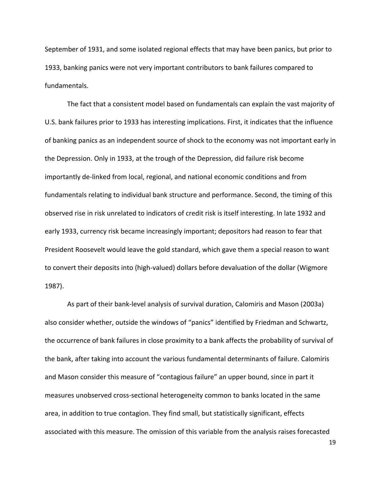September of 1931, and some isolated regional effects that may have been panics, but prior to 1933, banking panics were not very important contributors to bank failures compared to fundamentals.

The fact that a consistent model based on fundamentals can explain the vast majority of U.S. bank failures prior to 1933 has interesting implications. First, it indicates that the influence of banking panics as an independent source of shock to the economy was not important early in the Depression. Only in 1933, at the trough of the Depression, did failure risk become importantly de‐linked from local, regional, and national economic conditions and from fundamentals relating to individual bank structure and performance. Second, the timing of this observed rise in risk unrelated to indicators of credit risk is itself interesting. In late 1932 and early 1933, currency risk became increasingly important; depositors had reason to fear that President Roosevelt would leave the gold standard, which gave them a special reason to want to convert their deposits into (high‐valued) dollars before devaluation of the dollar (Wigmore 1987).

As part of their bank‐level analysis of survival duration, Calomiris and Mason (2003a) also consider whether, outside the windows of "panics" identified by Friedman and Schwartz, the occurrence of bank failures in close proximity to a bank affects the probability of survival of the bank, after taking into account the various fundamental determinants of failure. Calomiris and Mason consider this measure of "contagious failure" an upper bound, since in part it measures unobserved cross‐sectional heterogeneity common to banks located in the same area, in addition to true contagion. They find small, but statistically significant, effects associated with this measure. The omission of this variable from the analysis raises forecasted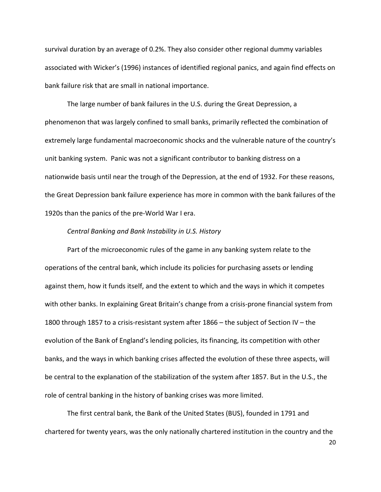survival duration by an average of 0.2%. They also consider other regional dummy variables associated with Wicker's (1996) instances of identified regional panics, and again find effects on bank failure risk that are small in national importance.

The large number of bank failures in the U.S. during the Great Depression, a phenomenon that was largely confined to small banks, primarily reflected the combination of extremely large fundamental macroeconomic shocks and the vulnerable nature of the country's unit banking system. Panic was not a significant contributor to banking distress on a nationwide basis until near the trough of the Depression, at the end of 1932. For these reasons, the Great Depression bank failure experience has more in common with the bank failures of the 1920s than the panics of the pre‐World War I era.

#### *Central Banking and Bank Instability in U.S. History*

Part of the microeconomic rules of the game in any banking system relate to the operations of the central bank, which include its policies for purchasing assets or lending against them, how it funds itself, and the extent to which and the ways in which it competes with other banks. In explaining Great Britain's change from a crisis-prone financial system from 1800 through 1857 to a crisis‐resistant system after 1866 – the subject of Section IV – the evolution of the Bank of England's lending policies, its financing, its competition with other banks, and the ways in which banking crises affected the evolution of these three aspects, will be central to the explanation of the stabilization of the system after 1857. But in the U.S., the role of central banking in the history of banking crises was more limited.

The first central bank, the Bank of the United States (BUS), founded in 1791 and chartered for twenty years, was the only nationally chartered institution in the country and the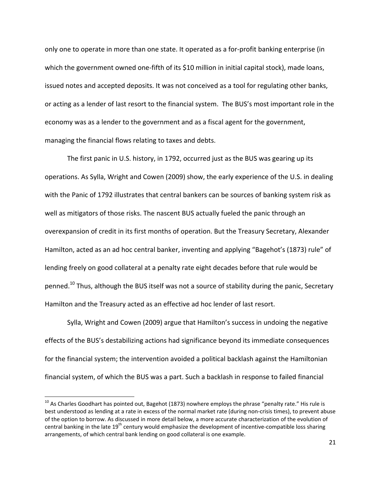only one to operate in more than one state. It operated as a for‐profit banking enterprise (in which the government owned one-fifth of its \$10 million in initial capital stock), made loans, issued notes and accepted deposits. It was not conceived as a tool for regulating other banks, or acting as a lender of last resort to the financial system. The BUS's most important role in the economy was as a lender to the government and as a fiscal agent for the government, managing the financial flows relating to taxes and debts.

The first panic in U.S. history, in 1792, occurred just as the BUS was gearing up its operations. As Sylla, Wright and Cowen (2009) show, the early experience of the U.S. in dealing with the Panic of 1792 illustrates that central bankers can be sources of banking system risk as well as mitigators of those risks. The nascent BUS actually fueled the panic through an overexpansion of credit in its first months of operation. But the Treasury Secretary, Alexander Hamilton, acted as an ad hoc central banker, inventing and applying "Bagehot's (1873) rule" of lending freely on good collateral at a penalty rate eight decades before that rule would be penned.<sup>10</sup> Thus, although the BUS itself was not a source of stability during the panic, Secretary Hamilton and the Treasury acted as an effective ad hoc lender of last resort.

Sylla, Wright and Cowen (2009) argue that Hamilton's success in undoing the negative effects of the BUS's destabilizing actions had significance beyond its immediate consequences for the financial system; the intervention avoided a political backlash against the Hamiltonian financial system, of which the BUS was a part. Such a backlash in response to failed financial

 $10$  As Charles Goodhart has pointed out, Bagehot (1873) nowhere employs the phrase "penalty rate." His rule is best understood as lending at a rate in excess of the normal market rate (during non‐crisis times), to prevent abuse of the option to borrow. As discussed in more detail below, a more accurate characterization of the evolution of central banking in the late 19<sup>th</sup> century would emphasize the development of incentive-compatible loss sharing arrangements, of which central bank lending on good collateral is one example.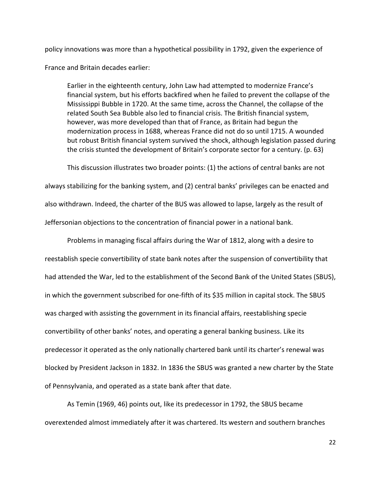policy innovations was more than a hypothetical possibility in 1792, given the experience of France and Britain decades earlier:

Earlier in the eighteenth century, John Law had attempted to modernize France's financial system, but his efforts backfired when he failed to prevent the collapse of the Mississippi Bubble in 1720. At the same time, across the Channel, the collapse of the related South Sea Bubble also led to financial crisis. The British financial system, however, was more developed than that of France, as Britain had begun the modernization process in 1688, whereas France did not do so until 1715. A wounded but robust British financial system survived the shock, although legislation passed during the crisis stunted the development of Britain's corporate sector for a century. (p. 63)

This discussion illustrates two broader points: (1) the actions of central banks are not always stabilizing for the banking system, and (2) central banks' privileges can be enacted and also withdrawn. Indeed, the charter of the BUS was allowed to lapse, largely as the result of Jeffersonian objections to the concentration of financial power in a national bank.

Problems in managing fiscal affairs during the War of 1812, along with a desire to reestablish specie convertibility of state bank notes after the suspension of convertibility that had attended the War, led to the establishment of the Second Bank of the United States (SBUS), in which the government subscribed for one-fifth of its \$35 million in capital stock. The SBUS was charged with assisting the government in its financial affairs, reestablishing specie convertibility of other banks' notes, and operating a general banking business. Like its predecessor it operated as the only nationally chartered bank until its charter's renewal was blocked by President Jackson in 1832. In 1836 the SBUS was granted a new charter by the State of Pennsylvania, and operated as a state bank after that date.

As Temin (1969, 46) points out, like its predecessor in 1792, the SBUS became overextended almost immediately after it was chartered. Its western and southern branches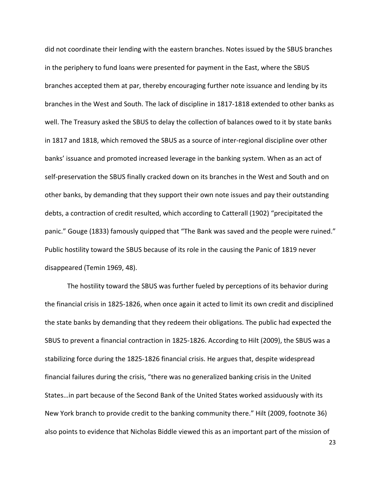did not coordinate their lending with the eastern branches. Notes issued by the SBUS branches in the periphery to fund loans were presented for payment in the East, where the SBUS branches accepted them at par, thereby encouraging further note issuance and lending by its branches in the West and South. The lack of discipline in 1817‐1818 extended to other banks as well. The Treasury asked the SBUS to delay the collection of balances owed to it by state banks in 1817 and 1818, which removed the SBUS as a source of inter-regional discipline over other banks' issuance and promoted increased leverage in the banking system. When as an act of self‐preservation the SBUS finally cracked down on its branches in the West and South and on other banks, by demanding that they support their own note issues and pay their outstanding debts, a contraction of credit resulted, which according to Catterall (1902) "precipitated the panic." Gouge (1833) famously quipped that "The Bank was saved and the people were ruined." Public hostility toward the SBUS because of its role in the causing the Panic of 1819 never disappeared (Temin 1969, 48).

The hostility toward the SBUS was further fueled by perceptions of its behavior during the financial crisis in 1825‐1826, when once again it acted to limit its own credit and disciplined the state banks by demanding that they redeem their obligations. The public had expected the SBUS to prevent a financial contraction in 1825‐1826. According to Hilt (2009), the SBUS was a stabilizing force during the 1825‐1826 financial crisis. He argues that, despite widespread financial failures during the crisis, "there was no generalized banking crisis in the United States…in part because of the Second Bank of the United States worked assiduously with its New York branch to provide credit to the banking community there." Hilt (2009, footnote 36) also points to evidence that Nicholas Biddle viewed this as an important part of the mission of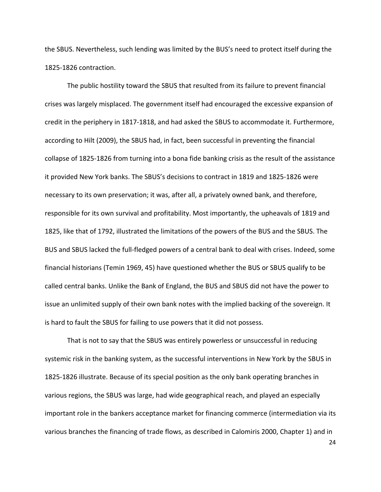the SBUS. Nevertheless, such lending was limited by the BUS's need to protect itself during the 1825‐1826 contraction.

The public hostility toward the SBUS that resulted from its failure to prevent financial crises was largely misplaced. The government itself had encouraged the excessive expansion of credit in the periphery in 1817‐1818, and had asked the SBUS to accommodate it. Furthermore, according to Hilt (2009), the SBUS had, in fact, been successful in preventing the financial collapse of 1825‐1826 from turning into a bona fide banking crisis as the result of the assistance it provided New York banks. The SBUS's decisions to contract in 1819 and 1825‐1826 were necessary to its own preservation; it was, after all, a privately owned bank, and therefore, responsible for its own survival and profitability. Most importantly, the upheavals of 1819 and 1825, like that of 1792, illustrated the limitations of the powers of the BUS and the SBUS. The BUS and SBUS lacked the full‐fledged powers of a central bank to deal with crises. Indeed, some financial historians (Temin 1969, 45) have questioned whether the BUS or SBUS qualify to be called central banks. Unlike the Bank of England, the BUS and SBUS did not have the power to issue an unlimited supply of their own bank notes with the implied backing of the sovereign. It is hard to fault the SBUS for failing to use powers that it did not possess.

That is not to say that the SBUS was entirely powerless or unsuccessful in reducing systemic risk in the banking system, as the successful interventions in New York by the SBUS in 1825‐1826 illustrate. Because of its special position as the only bank operating branches in various regions, the SBUS was large, had wide geographical reach, and played an especially important role in the bankers acceptance market for financing commerce (intermediation via its various branches the financing of trade flows, as described in Calomiris 2000, Chapter 1) and in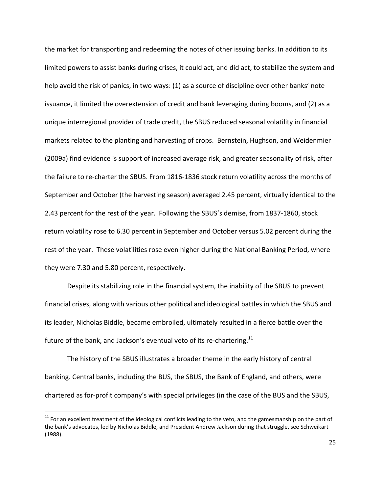the market for transporting and redeeming the notes of other issuing banks. In addition to its limited powers to assist banks during crises, it could act, and did act, to stabilize the system and help avoid the risk of panics, in two ways: (1) as a source of discipline over other banks' note issuance, it limited the overextension of credit and bank leveraging during booms, and (2) as a unique interregional provider of trade credit, the SBUS reduced seasonal volatility in financial markets related to the planting and harvesting of crops. Bernstein, Hughson, and Weidenmier (2009a) find evidence is support of increased average risk, and greater seasonality of risk, after the failure to re‐charter the SBUS. From 1816‐1836 stock return volatility across the months of September and October (the harvesting season) averaged 2.45 percent, virtually identical to the 2.43 percent for the rest of the year. Following the SBUS's demise, from 1837‐1860, stock return volatility rose to 6.30 percent in September and October versus 5.02 percent during the rest of the year. These volatilities rose even higher during the National Banking Period, where they were 7.30 and 5.80 percent, respectively.

Despite its stabilizing role in the financial system, the inability of the SBUS to prevent financial crises, along with various other political and ideological battles in which the SBUS and its leader, Nicholas Biddle, became embroiled, ultimately resulted in a fierce battle over the future of the bank, and Jackson's eventual veto of its re-chartering. $^{11}$ 

The history of the SBUS illustrates a broader theme in the early history of central banking. Central banks, including the BUS, the SBUS, the Bank of England, and others, were chartered as for‐profit company's with special privileges (in the case of the BUS and the SBUS,

 $11$  For an excellent treatment of the ideological conflicts leading to the veto, and the gamesmanship on the part of the bank's advocates, led by Nicholas Biddle, and President Andrew Jackson during that struggle, see Schweikart (1988).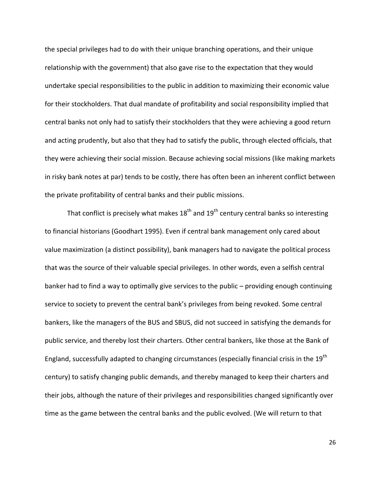the special privileges had to do with their unique branching operations, and their unique relationship with the government) that also gave rise to the expectation that they would undertake special responsibilities to the public in addition to maximizing their economic value for their stockholders. That dual mandate of profitability and social responsibility implied that central banks not only had to satisfy their stockholders that they were achieving a good return and acting prudently, but also that they had to satisfy the public, through elected officials, that they were achieving their social mission. Because achieving social missions (like making markets in risky bank notes at par) tends to be costly, there has often been an inherent conflict between the private profitability of central banks and their public missions.

That conflict is precisely what makes  $18<sup>th</sup>$  and  $19<sup>th</sup>$  century central banks so interesting to financial historians (Goodhart 1995). Even if central bank management only cared about value maximization (a distinct possibility), bank managers had to navigate the political process that was the source of their valuable special privileges. In other words, even a selfish central banker had to find a way to optimally give services to the public – providing enough continuing service to society to prevent the central bank's privileges from being revoked. Some central bankers, like the managers of the BUS and SBUS, did not succeed in satisfying the demands for public service, and thereby lost their charters. Other central bankers, like those at the Bank of England, successfully adapted to changing circumstances (especially financial crisis in the 19<sup>th</sup> century) to satisfy changing public demands, and thereby managed to keep their charters and their jobs, although the nature of their privileges and responsibilities changed significantly over time as the game between the central banks and the public evolved. (We will return to that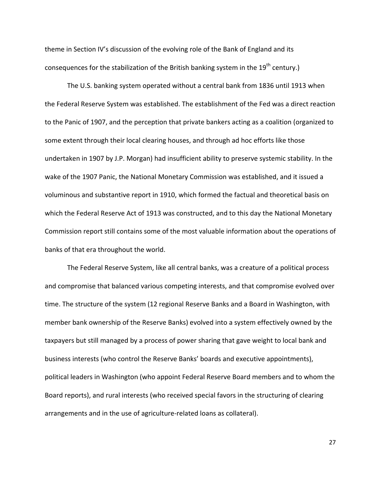theme in Section IV's discussion of the evolving role of the Bank of England and its consequences for the stabilization of the British banking system in the 19<sup>th</sup> century.)

The U.S. banking system operated without a central bank from 1836 until 1913 when the Federal Reserve System was established. The establishment of the Fed was a direct reaction to the Panic of 1907, and the perception that private bankers acting as a coalition (organized to some extent through their local clearing houses, and through ad hoc efforts like those undertaken in 1907 by J.P. Morgan) had insufficient ability to preserve systemic stability. In the wake of the 1907 Panic, the National Monetary Commission was established, and it issued a voluminous and substantive report in 1910, which formed the factual and theoretical basis on which the Federal Reserve Act of 1913 was constructed, and to this day the National Monetary Commission report still contains some of the most valuable information about the operations of banks of that era throughout the world.

The Federal Reserve System, like all central banks, was a creature of a political process and compromise that balanced various competing interests, and that compromise evolved over time. The structure of the system (12 regional Reserve Banks and a Board in Washington, with member bank ownership of the Reserve Banks) evolved into a system effectively owned by the taxpayers but still managed by a process of power sharing that gave weight to local bank and business interests (who control the Reserve Banks' boards and executive appointments), political leaders in Washington (who appoint Federal Reserve Board members and to whom the Board reports), and rural interests (who received special favors in the structuring of clearing arrangements and in the use of agriculture‐related loans as collateral).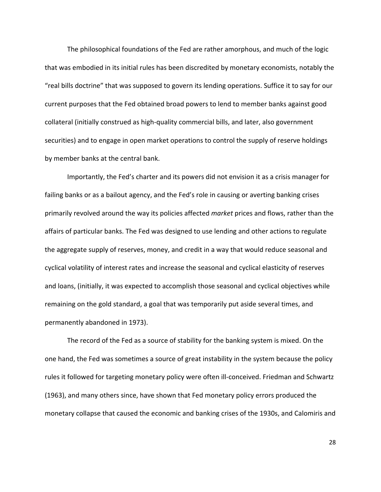The philosophical foundations of the Fed are rather amorphous, and much of the logic that was embodied in its initial rules has been discredited by monetary economists, notably the "real bills doctrine" that was supposed to govern its lending operations. Suffice it to say for our current purposes that the Fed obtained broad powers to lend to member banks against good collateral (initially construed as high‐quality commercial bills, and later, also government securities) and to engage in open market operations to control the supply of reserve holdings by member banks at the central bank.

Importantly, the Fed's charter and its powers did not envision it as a crisis manager for failing banks or as a bailout agency, and the Fed's role in causing or averting banking crises primarily revolved around the way its policies affected *market* prices and flows, rather than the affairs of particular banks. The Fed was designed to use lending and other actions to regulate the aggregate supply of reserves, money, and credit in a way that would reduce seasonal and cyclical volatility of interest rates and increase the seasonal and cyclical elasticity of reserves and loans, (initially, it was expected to accomplish those seasonal and cyclical objectives while remaining on the gold standard, a goal that was temporarily put aside several times, and permanently abandoned in 1973).

The record of the Fed as a source of stability for the banking system is mixed. On the one hand, the Fed was sometimes a source of great instability in the system because the policy rules it followed for targeting monetary policy were often ill‐conceived. Friedman and Schwartz (1963), and many others since, have shown that Fed monetary policy errors produced the monetary collapse that caused the economic and banking crises of the 1930s, and Calomiris and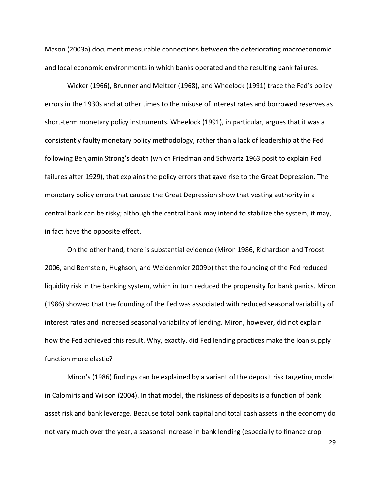Mason (2003a) document measurable connections between the deteriorating macroeconomic and local economic environments in which banks operated and the resulting bank failures.

Wicker (1966), Brunner and Meltzer (1968), and Wheelock (1991) trace the Fed's policy errors in the 1930s and at other times to the misuse of interest rates and borrowed reserves as short-term monetary policy instruments. Wheelock (1991), in particular, argues that it was a consistently faulty monetary policy methodology, rather than a lack of leadership at the Fed following Benjamin Strong's death (which Friedman and Schwartz 1963 posit to explain Fed failures after 1929), that explains the policy errors that gave rise to the Great Depression. The monetary policy errors that caused the Great Depression show that vesting authority in a central bank can be risky; although the central bank may intend to stabilize the system, it may, in fact have the opposite effect.

On the other hand, there is substantial evidence (Miron 1986, Richardson and Troost 2006, and Bernstein, Hughson, and Weidenmier 2009b) that the founding of the Fed reduced liquidity risk in the banking system, which in turn reduced the propensity for bank panics. Miron (1986) showed that the founding of the Fed was associated with reduced seasonal variability of interest rates and increased seasonal variability of lending. Miron, however, did not explain how the Fed achieved this result. Why, exactly, did Fed lending practices make the loan supply function more elastic?

Miron's (1986) findings can be explained by a variant of the deposit risk targeting model in Calomiris and Wilson (2004). In that model, the riskiness of deposits is a function of bank asset risk and bank leverage. Because total bank capital and total cash assets in the economy do not vary much over the year, a seasonal increase in bank lending (especially to finance crop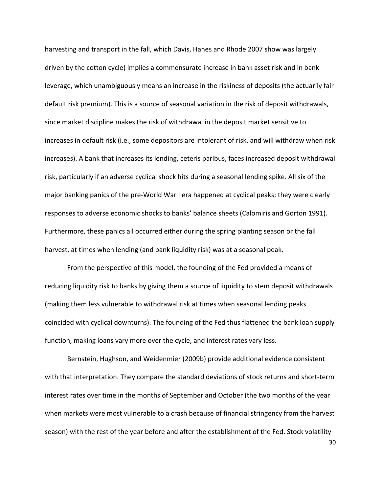harvesting and transport in the fall, which Davis, Hanes and Rhode 2007 show was largely driven by the cotton cycle) implies a commensurate increase in bank asset risk and in bank leverage, which unambiguously means an increase in the riskiness of deposits (the actuarily fair default risk premium). This is a source of seasonal variation in the risk of deposit withdrawals, since market discipline makes the risk of withdrawal in the deposit market sensitive to increases in default risk (i.e., some depositors are intolerant of risk, and will withdraw when risk increases). A bank that increases its lending, ceteris paribus, faces increased deposit withdrawal risk, particularly if an adverse cyclical shock hits during a seasonal lending spike. All six of the major banking panics of the pre‐World War I era happened at cyclical peaks; they were clearly responses to adverse economic shocks to banks' balance sheets (Calomiris and Gorton 1991). Furthermore, these panics all occurred either during the spring planting season or the fall harvest, at times when lending (and bank liquidity risk) was at a seasonal peak.

From the perspective of this model, the founding of the Fed provided a means of reducing liquidity risk to banks by giving them a source of liquidity to stem deposit withdrawals (making them less vulnerable to withdrawal risk at times when seasonal lending peaks coincided with cyclical downturns). The founding of the Fed thus flattened the bank loan supply function, making loans vary more over the cycle, and interest rates vary less.

Bernstein, Hughson, and Weidenmier (2009b) provide additional evidence consistent with that interpretation. They compare the standard deviations of stock returns and short-term interest rates over time in the months of September and October (the two months of the year when markets were most vulnerable to a crash because of financial stringency from the harvest season) with the rest of the year before and after the establishment of the Fed. Stock volatility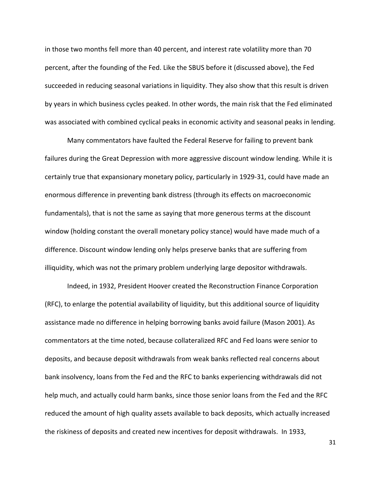in those two months fell more than 40 percent, and interest rate volatility more than 70 percent, after the founding of the Fed. Like the SBUS before it (discussed above), the Fed succeeded in reducing seasonal variations in liquidity. They also show that this result is driven by years in which business cycles peaked. In other words, the main risk that the Fed eliminated was associated with combined cyclical peaks in economic activity and seasonal peaks in lending.

Many commentators have faulted the Federal Reserve for failing to prevent bank failures during the Great Depression with more aggressive discount window lending. While it is certainly true that expansionary monetary policy, particularly in 1929‐31, could have made an enormous difference in preventing bank distress (through its effects on macroeconomic fundamentals), that is not the same as saying that more generous terms at the discount window (holding constant the overall monetary policy stance) would have made much of a difference. Discount window lending only helps preserve banks that are suffering from illiquidity, which was not the primary problem underlying large depositor withdrawals.

Indeed, in 1932, President Hoover created the Reconstruction Finance Corporation (RFC), to enlarge the potential availability of liquidity, but this additional source of liquidity assistance made no difference in helping borrowing banks avoid failure (Mason 2001). As commentators at the time noted, because collateralized RFC and Fed loans were senior to deposits, and because deposit withdrawals from weak banks reflected real concerns about bank insolvency, loans from the Fed and the RFC to banks experiencing withdrawals did not help much, and actually could harm banks, since those senior loans from the Fed and the RFC reduced the amount of high quality assets available to back deposits, which actually increased the riskiness of deposits and created new incentives for deposit withdrawals. In 1933,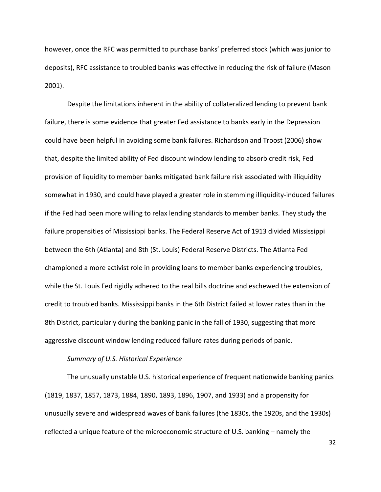however, once the RFC was permitted to purchase banks' preferred stock (which was junior to deposits), RFC assistance to troubled banks was effective in reducing the risk of failure (Mason 2001).

Despite the limitations inherent in the ability of collateralized lending to prevent bank failure, there is some evidence that greater Fed assistance to banks early in the Depression could have been helpful in avoiding some bank failures. Richardson and Troost (2006) show that, despite the limited ability of Fed discount window lending to absorb credit risk, Fed provision of liquidity to member banks mitigated bank failure risk associated with illiquidity somewhat in 1930, and could have played a greater role in stemming illiquidity-induced failures if the Fed had been more willing to relax lending standards to member banks. They study the failure propensities of Mississippi banks. The Federal Reserve Act of 1913 divided Mississippi between the 6th (Atlanta) and 8th (St. Louis) Federal Reserve Districts. The Atlanta Fed championed a more activist role in providing loans to member banks experiencing troubles, while the St. Louis Fed rigidly adhered to the real bills doctrine and eschewed the extension of credit to troubled banks. Mississippi banks in the 6th District failed at lower rates than in the 8th District, particularly during the banking panic in the fall of 1930, suggesting that more aggressive discount window lending reduced failure rates during periods of panic.

## *Summary of U.S. Historical Experience*

The unusually unstable U.S. historical experience of frequent nationwide banking panics (1819, 1837, 1857, 1873, 1884, 1890, 1893, 1896, 1907, and 1933) and a propensity for unusually severe and widespread waves of bank failures (the 1830s, the 1920s, and the 1930s) reflected a unique feature of the microeconomic structure of U.S. banking – namely the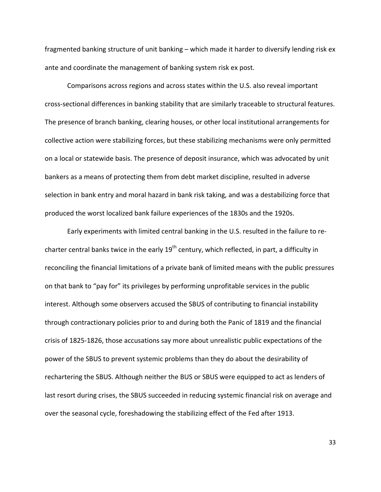fragmented banking structure of unit banking – which made it harder to diversify lending risk ex ante and coordinate the management of banking system risk ex post.

Comparisons across regions and across states within the U.S. also reveal important cross‐sectional differences in banking stability that are similarly traceable to structural features. The presence of branch banking, clearing houses, or other local institutional arrangements for collective action were stabilizing forces, but these stabilizing mechanisms were only permitted on a local or statewide basis. The presence of deposit insurance, which was advocated by unit bankers as a means of protecting them from debt market discipline, resulted in adverse selection in bank entry and moral hazard in bank risk taking, and was a destabilizing force that produced the worst localized bank failure experiences of the 1830s and the 1920s.

Early experiments with limited central banking in the U.S. resulted in the failure to re‐ charter central banks twice in the early  $19<sup>th</sup>$  century, which reflected, in part, a difficulty in reconciling the financial limitations of a private bank of limited means with the public pressures on that bank to "pay for" its privileges by performing unprofitable services in the public interest. Although some observers accused the SBUS of contributing to financial instability through contractionary policies prior to and during both the Panic of 1819 and the financial crisis of 1825‐1826, those accusations say more about unrealistic public expectations of the power of the SBUS to prevent systemic problems than they do about the desirability of rechartering the SBUS. Although neither the BUS or SBUS were equipped to act as lenders of last resort during crises, the SBUS succeeded in reducing systemic financial risk on average and over the seasonal cycle, foreshadowing the stabilizing effect of the Fed after 1913.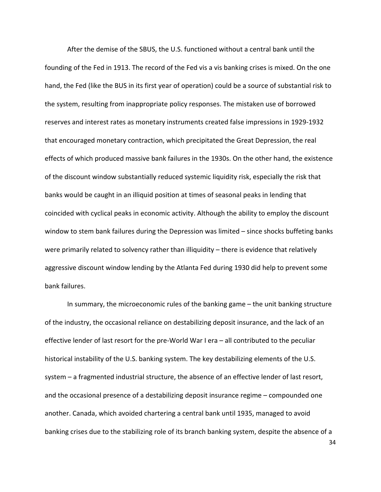After the demise of the SBUS, the U.S. functioned without a central bank until the founding of the Fed in 1913. The record of the Fed vis a vis banking crises is mixed. On the one hand, the Fed (like the BUS in its first year of operation) could be a source of substantial risk to the system, resulting from inappropriate policy responses. The mistaken use of borrowed reserves and interest rates as monetary instruments created false impressions in 1929‐1932 that encouraged monetary contraction, which precipitated the Great Depression, the real effects of which produced massive bank failures in the 1930s. On the other hand, the existence of the discount window substantially reduced systemic liquidity risk, especially the risk that banks would be caught in an illiquid position at times of seasonal peaks in lending that coincided with cyclical peaks in economic activity. Although the ability to employ the discount window to stem bank failures during the Depression was limited – since shocks buffeting banks were primarily related to solvency rather than illiquidity – there is evidence that relatively aggressive discount window lending by the Atlanta Fed during 1930 did help to prevent some bank failures.

In summary, the microeconomic rules of the banking game – the unit banking structure of the industry, the occasional reliance on destabilizing deposit insurance, and the lack of an effective lender of last resort for the pre-World War I era – all contributed to the peculiar historical instability of the U.S. banking system. The key destabilizing elements of the U.S. system – a fragmented industrial structure, the absence of an effective lender of last resort, and the occasional presence of a destabilizing deposit insurance regime – compounded one another. Canada, which avoided chartering a central bank until 1935, managed to avoid banking crises due to the stabilizing role of its branch banking system, despite the absence of a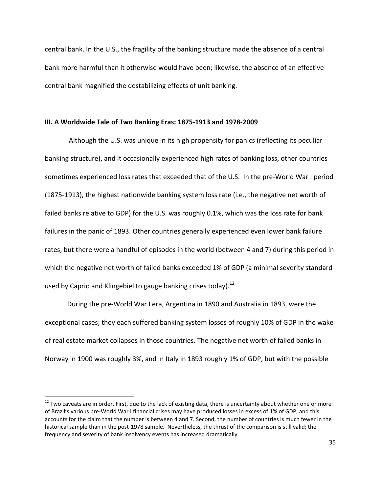central bank. In the U.S., the fragility of the banking structure made the absence of a central bank more harmful than it otherwise would have been; likewise, the absence of an effective central bank magnified the destabilizing effects of unit banking.

## **III. A Worldwide Tale of Two Banking Eras: 1875‐1913 and 1978‐2009**

Although the U.S. was unique in its high propensity for panics (reflecting its peculiar banking structure), and it occasionally experienced high rates of banking loss, other countries sometimes experienced loss rates that exceeded that of the U.S. In the pre‐World War I period (1875‐1913), the highest nationwide banking system loss rate (i.e., the negative net worth of failed banks relative to GDP) for the U.S. was roughly 0.1%, which was the loss rate for bank failures in the panic of 1893. Other countries generally experienced even lower bank failure rates, but there were a handful of episodes in the world (between 4 and 7) during this period in which the negative net worth of failed banks exceeded 1% of GDP (a minimal severity standard used by Caprio and Klingebiel to gauge banking crises today). $^{12}$ 

During the pre‐World War I era, Argentina in 1890 and Australia in 1893, were the exceptional cases; they each suffered banking system losses of roughly 10% of GDP in the wake of real estate market collapses in those countries. The negative net worth of failed banks in Norway in 1900 was roughly 3%, and in Italy in 1893 roughly 1% of GDP, but with the possible

<sup>&</sup>lt;sup>12</sup> Two caveats are in order. First, due to the lack of existing data, there is uncertainty about whether one or more of Brazil's various pre‐World War I financial crises may have produced losses in excess of 1% of GDP, and this accounts for the claim that the number is between 4 and 7. Second, the number of countries is much fewer in the historical sample than in the post-1978 sample. Nevertheless, the thrust of the comparison is still valid; the frequency and severity of bank insolvency events has increased dramatically.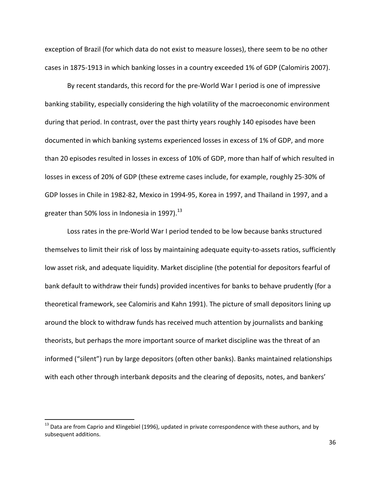exception of Brazil (for which data do not exist to measure losses), there seem to be no other cases in 1875‐1913 in which banking losses in a country exceeded 1% of GDP (Calomiris 2007).

By recent standards, this record for the pre‐World War I period is one of impressive banking stability, especially considering the high volatility of the macroeconomic environment during that period. In contrast, over the past thirty years roughly 140 episodes have been documented in which banking systems experienced losses in excess of 1% of GDP, and more than 20 episodes resulted in losses in excess of 10% of GDP, more than half of which resulted in losses in excess of 20% of GDP (these extreme cases include, for example, roughly 25‐30% of GDP losses in Chile in 1982‐82, Mexico in 1994‐95, Korea in 1997, and Thailand in 1997, and a greater than 50% loss in Indonesia in 1997). $^{13}$ 

Loss rates in the pre‐World War I period tended to be low because banks structured themselves to limit their risk of loss by maintaining adequate equity‐to‐assets ratios, sufficiently low asset risk, and adequate liquidity. Market discipline (the potential for depositors fearful of bank default to withdraw their funds) provided incentives for banks to behave prudently (for a theoretical framework, see Calomiris and Kahn 1991). The picture of small depositors lining up around the block to withdraw funds has received much attention by journalists and banking theorists, but perhaps the more important source of market discipline was the threat of an informed ("silent") run by large depositors (often other banks). Banks maintained relationships with each other through interbank deposits and the clearing of deposits, notes, and bankers'

<sup>&</sup>lt;sup>13</sup> Data are from Caprio and Klingebiel (1996), updated in private correspondence with these authors, and by subsequent additions.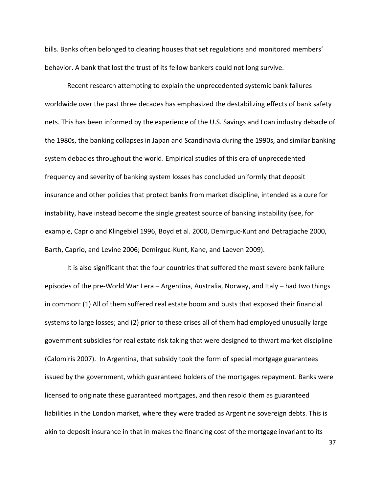bills. Banks often belonged to clearing houses that set regulations and monitored members' behavior. A bank that lost the trust of its fellow bankers could not long survive.

Recent research attempting to explain the unprecedented systemic bank failures worldwide over the past three decades has emphasized the destabilizing effects of bank safety nets. This has been informed by the experience of the U.S. Savings and Loan industry debacle of the 1980s, the banking collapses in Japan and Scandinavia during the 1990s, and similar banking system debacles throughout the world. Empirical studies of this era of unprecedented frequency and severity of banking system losses has concluded uniformly that deposit insurance and other policies that protect banks from market discipline, intended as a cure for instability, have instead become the single greatest source of banking instability (see, for example, Caprio and Klingebiel 1996, Boyd et al. 2000, Demirguc‐Kunt and Detragiache 2000, Barth, Caprio, and Levine 2006; Demirguc‐Kunt, Kane, and Laeven 2009).

It is also significant that the four countries that suffered the most severe bank failure episodes of the pre‐World War I era – Argentina, Australia, Norway, and Italy – had two things in common: (1) All of them suffered real estate boom and busts that exposed their financial systems to large losses; and (2) prior to these crises all of them had employed unusually large government subsidies for real estate risk taking that were designed to thwart market discipline (Calomiris 2007). In Argentina, that subsidy took the form of special mortgage guarantees issued by the government, which guaranteed holders of the mortgages repayment. Banks were licensed to originate these guaranteed mortgages, and then resold them as guaranteed liabilities in the London market, where they were traded as Argentine sovereign debts. This is akin to deposit insurance in that in makes the financing cost of the mortgage invariant to its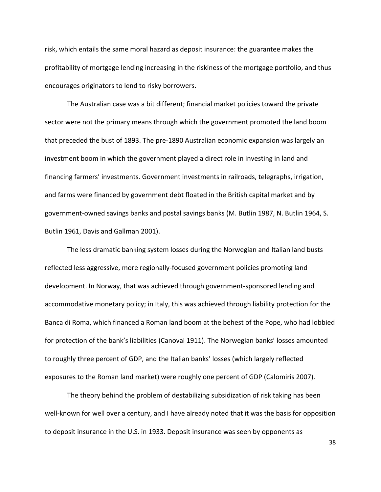risk, which entails the same moral hazard as deposit insurance: the guarantee makes the profitability of mortgage lending increasing in the riskiness of the mortgage portfolio, and thus encourages originators to lend to risky borrowers.

The Australian case was a bit different; financial market policies toward the private sector were not the primary means through which the government promoted the land boom that preceded the bust of 1893. The pre‐1890 Australian economic expansion was largely an investment boom in which the government played a direct role in investing in land and financing farmers' investments. Government investments in railroads, telegraphs, irrigation, and farms were financed by government debt floated in the British capital market and by government-owned savings banks and postal savings banks (M. Butlin 1987, N. Butlin 1964, S. Butlin 1961, Davis and Gallman 2001).

The less dramatic banking system losses during the Norwegian and Italian land busts reflected less aggressive, more regionally‐focused government policies promoting land development. In Norway, that was achieved through government‐sponsored lending and accommodative monetary policy; in Italy, this was achieved through liability protection for the Banca di Roma, which financed a Roman land boom at the behest of the Pope, who had lobbied for protection of the bank's liabilities (Canovai 1911). The Norwegian banks' losses amounted to roughly three percent of GDP, and the Italian banks' losses (which largely reflected exposures to the Roman land market) were roughly one percent of GDP (Calomiris 2007).

The theory behind the problem of destabilizing subsidization of risk taking has been well-known for well over a century, and I have already noted that it was the basis for opposition to deposit insurance in the U.S. in 1933. Deposit insurance was seen by opponents as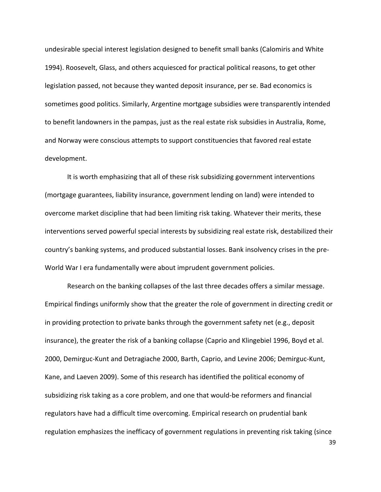undesirable special interest legislation designed to benefit small banks (Calomiris and White 1994). Roosevelt, Glass, and others acquiesced for practical political reasons, to get other legislation passed, not because they wanted deposit insurance, per se. Bad economics is sometimes good politics. Similarly, Argentine mortgage subsidies were transparently intended to benefit landowners in the pampas, just as the real estate risk subsidies in Australia, Rome, and Norway were conscious attempts to support constituencies that favored real estate development.

It is worth emphasizing that all of these risk subsidizing government interventions (mortgage guarantees, liability insurance, government lending on land) were intended to overcome market discipline that had been limiting risk taking. Whatever their merits, these interventions served powerful special interests by subsidizing real estate risk, destabilized their country's banking systems, and produced substantial losses. Bank insolvency crises in the pre‐ World War I era fundamentally were about imprudent government policies.

Research on the banking collapses of the last three decades offers a similar message. Empirical findings uniformly show that the greater the role of government in directing credit or in providing protection to private banks through the government safety net (e.g., deposit insurance), the greater the risk of a banking collapse (Caprio and Klingebiel 1996, Boyd et al. 2000, Demirguc‐Kunt and Detragiache 2000, Barth, Caprio, and Levine 2006; Demirguc‐Kunt, Kane, and Laeven 2009). Some of this research has identified the political economy of subsidizing risk taking as a core problem, and one that would‐be reformers and financial regulators have had a difficult time overcoming. Empirical research on prudential bank regulation emphasizes the inefficacy of government regulations in preventing risk taking (since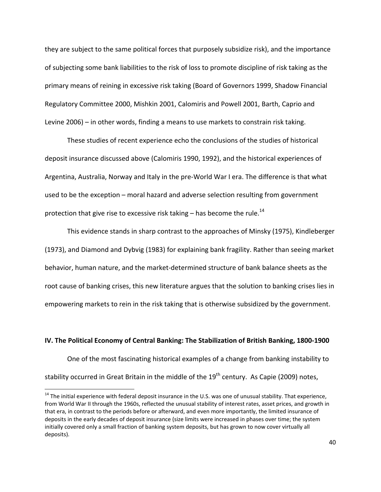they are subject to the same political forces that purposely subsidize risk), and the importance of subjecting some bank liabilities to the risk of loss to promote discipline of risk taking as the primary means of reining in excessive risk taking (Board of Governors 1999, Shadow Financial Regulatory Committee 2000, Mishkin 2001, Calomiris and Powell 2001, Barth, Caprio and Levine 2006) – in other words, finding a means to use markets to constrain risk taking.

These studies of recent experience echo the conclusions of the studies of historical deposit insurance discussed above (Calomiris 1990, 1992), and the historical experiences of Argentina, Australia, Norway and Italy in the pre‐World War I era. The difference is that what used to be the exception – moral hazard and adverse selection resulting from government protection that give rise to excessive risk taking  $-$  has become the rule.<sup>14</sup>

This evidence stands in sharp contrast to the approaches of Minsky (1975), Kindleberger (1973), and Diamond and Dybvig (1983) for explaining bank fragility. Rather than seeing market behavior, human nature, and the market‐determined structure of bank balance sheets as the root cause of banking crises, this new literature argues that the solution to banking crises lies in empowering markets to rein in the risk taking that is otherwise subsidized by the government.

#### **IV. The Political Economy of Central Banking: The Stabilization of British Banking, 1800‐1900**

One of the most fascinating historical examples of a change from banking instability to stability occurred in Great Britain in the middle of the  $19<sup>th</sup>$  century. As Capie (2009) notes,

 $14$  The initial experience with federal deposit insurance in the U.S. was one of unusual stability. That experience, from World War II through the 1960s, reflected the unusual stability of interest rates, asset prices, and growth in that era, in contrast to the periods before or afterward, and even more importantly, the limited insurance of deposits in the early decades of deposit insurance (size limits were increased in phases over time; the system initially covered only a small fraction of banking system deposits, but has grown to now cover virtually all deposits).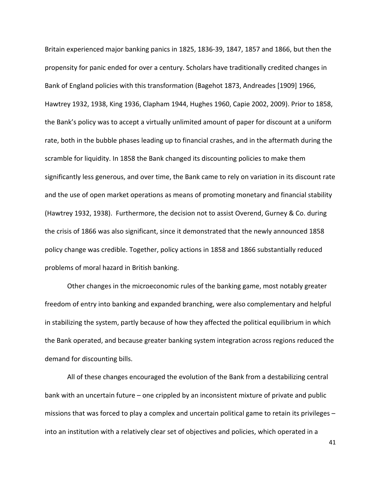Britain experienced major banking panics in 1825, 1836‐39, 1847, 1857 and 1866, but then the propensity for panic ended for over a century. Scholars have traditionally credited changes in Bank of England policies with this transformation (Bagehot 1873, Andreades [1909] 1966, Hawtrey 1932, 1938, King 1936, Clapham 1944, Hughes 1960, Capie 2002, 2009). Prior to 1858, the Bank's policy was to accept a virtually unlimited amount of paper for discount at a uniform rate, both in the bubble phases leading up to financial crashes, and in the aftermath during the scramble for liquidity. In 1858 the Bank changed its discounting policies to make them significantly less generous, and over time, the Bank came to rely on variation in its discount rate and the use of open market operations as means of promoting monetary and financial stability (Hawtrey 1932, 1938). Furthermore, the decision not to assist Overend, Gurney & Co. during the crisis of 1866 was also significant, since it demonstrated that the newly announced 1858 policy change was credible. Together, policy actions in 1858 and 1866 substantially reduced problems of moral hazard in British banking.

Other changes in the microeconomic rules of the banking game, most notably greater freedom of entry into banking and expanded branching, were also complementary and helpful in stabilizing the system, partly because of how they affected the political equilibrium in which the Bank operated, and because greater banking system integration across regions reduced the demand for discounting bills.

All of these changes encouraged the evolution of the Bank from a destabilizing central bank with an uncertain future – one crippled by an inconsistent mixture of private and public missions that was forced to play a complex and uncertain political game to retain its privileges – into an institution with a relatively clear set of objectives and policies, which operated in a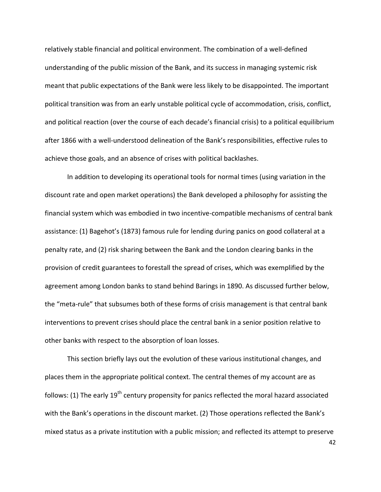relatively stable financial and political environment. The combination of a well‐defined understanding of the public mission of the Bank, and its success in managing systemic risk meant that public expectations of the Bank were less likely to be disappointed. The important political transition was from an early unstable political cycle of accommodation, crisis, conflict, and political reaction (over the course of each decade's financial crisis) to a political equilibrium after 1866 with a well-understood delineation of the Bank's responsibilities, effective rules to achieve those goals, and an absence of crises with political backlashes.

In addition to developing its operational tools for normal times (using variation in the discount rate and open market operations) the Bank developed a philosophy for assisting the financial system which was embodied in two incentive‐compatible mechanisms of central bank assistance: (1) Bagehot's (1873) famous rule for lending during panics on good collateral at a penalty rate, and (2) risk sharing between the Bank and the London clearing banks in the provision of credit guarantees to forestall the spread of crises, which was exemplified by the agreement among London banks to stand behind Barings in 1890. As discussed further below, the "meta‐rule" that subsumes both of these forms of crisis management is that central bank interventions to prevent crises should place the central bank in a senior position relative to other banks with respect to the absorption of loan losses.

This section briefly lays out the evolution of these various institutional changes, and places them in the appropriate political context. The central themes of my account are as follows: (1) The early 19<sup>th</sup> century propensity for panics reflected the moral hazard associated with the Bank's operations in the discount market. (2) Those operations reflected the Bank's mixed status as a private institution with a public mission; and reflected its attempt to preserve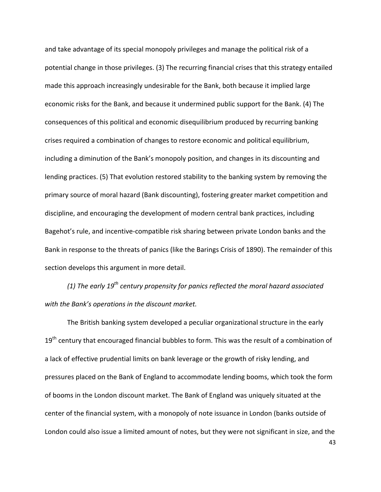and take advantage of its special monopoly privileges and manage the political risk of a potential change in those privileges. (3) The recurring financial crises that this strategy entailed made this approach increasingly undesirable for the Bank, both because it implied large economic risks for the Bank, and because it undermined public support for the Bank. (4) The consequences of this political and economic disequilibrium produced by recurring banking crises required a combination of changes to restore economic and political equilibrium, including a diminution of the Bank's monopoly position, and changes in its discounting and lending practices. (5) That evolution restored stability to the banking system by removing the primary source of moral hazard (Bank discounting), fostering greater market competition and discipline, and encouraging the development of modern central bank practices, including Bagehot's rule, and incentive‐compatible risk sharing between private London banks and the Bank in response to the threats of panics (like the Barings Crisis of 1890). The remainder of this section develops this argument in more detail.

*(1) The early 19th century propensity for panics reflected the moral hazard associated with the Bank's operations in the discount market.*

The British banking system developed a peculiar organizational structure in the early  $19<sup>th</sup>$  century that encouraged financial bubbles to form. This was the result of a combination of a lack of effective prudential limits on bank leverage or the growth of risky lending, and pressures placed on the Bank of England to accommodate lending booms, which took the form of booms in the London discount market. The Bank of England was uniquely situated at the center of the financial system, with a monopoly of note issuance in London (banks outside of London could also issue a limited amount of notes, but they were not significant in size, and the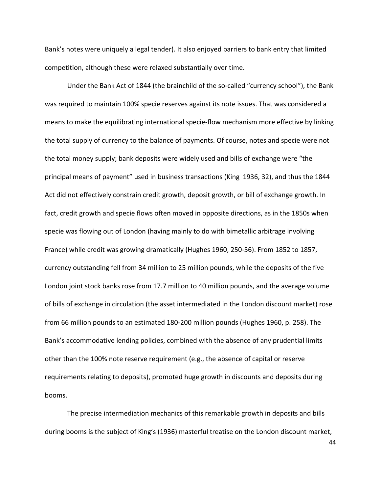Bank's notes were uniquely a legal tender). It also enjoyed barriers to bank entry that limited competition, although these were relaxed substantially over time.

Under the Bank Act of 1844 (the brainchild of the so‐called "currency school"), the Bank was required to maintain 100% specie reserves against its note issues. That was considered a means to make the equilibrating international specie‐flow mechanism more effective by linking the total supply of currency to the balance of payments. Of course, notes and specie were not the total money supply; bank deposits were widely used and bills of exchange were "the principal means of payment" used in business transactions (King 1936, 32), and thus the 1844 Act did not effectively constrain credit growth, deposit growth, or bill of exchange growth. In fact, credit growth and specie flows often moved in opposite directions, as in the 1850s when specie was flowing out of London (having mainly to do with bimetallic arbitrage involving France) while credit was growing dramatically (Hughes 1960, 250‐56). From 1852 to 1857, currency outstanding fell from 34 million to 25 million pounds, while the deposits of the five London joint stock banks rose from 17.7 million to 40 million pounds, and the average volume of bills of exchange in circulation (the asset intermediated in the London discount market) rose from 66 million pounds to an estimated 180‐200 million pounds (Hughes 1960, p. 258). The Bank's accommodative lending policies, combined with the absence of any prudential limits other than the 100% note reserve requirement (e.g., the absence of capital or reserve requirements relating to deposits), promoted huge growth in discounts and deposits during booms.

The precise intermediation mechanics of this remarkable growth in deposits and bills during booms is the subject of King's (1936) masterful treatise on the London discount market,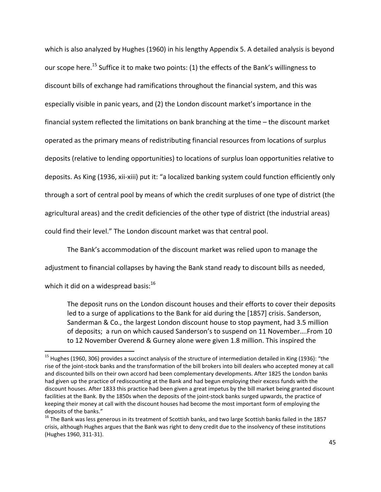which is also analyzed by Hughes (1960) in his lengthy Appendix 5. A detailed analysis is beyond our scope here.<sup>15</sup> Suffice it to make two points: (1) the effects of the Bank's willingness to discount bills of exchange had ramifications throughout the financial system, and this was especially visible in panic years, and (2) the London discount market's importance in the financial system reflected the limitations on bank branching at the time – the discount market operated as the primary means of redistributing financial resources from locations of surplus deposits (relative to lending opportunities) to locations of surplus loan opportunities relative to deposits. As King (1936, xii‐xiii) put it: "a localized banking system could function efficiently only through a sort of central pool by means of which the credit surpluses of one type of district (the agricultural areas) and the credit deficiencies of the other type of district (the industrial areas) could find their level." The London discount market was that central pool.

The Bank's accommodation of the discount market was relied upon to manage the

adjustment to financial collapses by having the Bank stand ready to discount bills as needed,

which it did on a widespread basis: $16$ 

The deposit runs on the London discount houses and their efforts to cover their deposits led to a surge of applications to the Bank for aid during the [1857] crisis. Sanderson, Sanderman & Co., the largest London discount house to stop payment, had 3.5 million of deposits; a run on which caused Sanderson's to suspend on 11 November….From 10 to 12 November Overend & Gurney alone were given 1.8 million. This inspired the

<sup>&</sup>lt;sup>15</sup> Hughes (1960, 306) provides a succinct analysis of the structure of intermediation detailed in King (1936): "the rise of the joint‐stock banks and the transformation of the bill brokers into bill dealers who accepted money at call and discounted bills on their own accord had been complementary developments. After 1825 the London banks had given up the practice of rediscounting at the Bank and had begun employing their excess funds with the discount houses. After 1833 this practice had been given a great impetus by the bill market being granted discount facilities at the Bank. By the 1850s when the deposits of the joint‐stock banks surged upwards, the practice of keeping their money at call with the discount houses had become the most important form of employing the deposits of the banks."<br><sup>16</sup> The Bank was less generous in its treatment of Scottish banks, and two large Scottish banks failed in the 1857

crisis, although Hughes argues that the Bank was right to deny credit due to the insolvency of these institutions (Hughes 1960, 311‐31).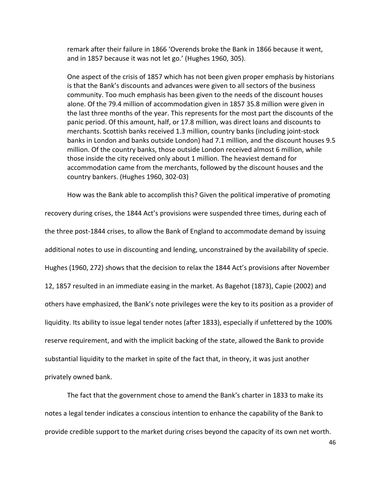remark after their failure in 1866 'Overends broke the Bank in 1866 because it went, and in 1857 because it was not let go.' (Hughes 1960, 305).

One aspect of the crisis of 1857 which has not been given proper emphasis by historians is that the Bank's discounts and advances were given to all sectors of the business community. Too much emphasis has been given to the needs of the discount houses alone. Of the 79.4 million of accommodation given in 1857 35.8 million were given in the last three months of the year. This represents for the most part the discounts of the panic period. Of this amount, half, or 17.8 million, was direct loans and discounts to merchants. Scottish banks received 1.3 million, country banks (including joint‐stock banks in London and banks outside London) had 7.1 million, and the discount houses 9.5 million. Of the country banks, those outside London received almost 6 million, while those inside the city received only about 1 million. The heaviest demand for accommodation came from the merchants, followed by the discount houses and the country bankers. (Hughes 1960, 302‐03)

How was the Bank able to accomplish this? Given the political imperative of promoting recovery during crises, the 1844 Act's provisions were suspended three times, during each of the three post‐1844 crises, to allow the Bank of England to accommodate demand by issuing additional notes to use in discounting and lending, unconstrained by the availability of specie. Hughes (1960, 272) shows that the decision to relax the 1844 Act's provisions after November 12, 1857 resulted in an immediate easing in the market. As Bagehot (1873), Capie (2002) and others have emphasized, the Bank's note privileges were the key to its position as a provider of liquidity. Its ability to issue legal tender notes (after 1833), especially if unfettered by the 100% reserve requirement, and with the implicit backing of the state, allowed the Bank to provide substantial liquidity to the market in spite of the fact that, in theory, it was just another privately owned bank.

The fact that the government chose to amend the Bank's charter in 1833 to make its notes a legal tender indicates a conscious intention to enhance the capability of the Bank to provide credible support to the market during crises beyond the capacity of its own net worth.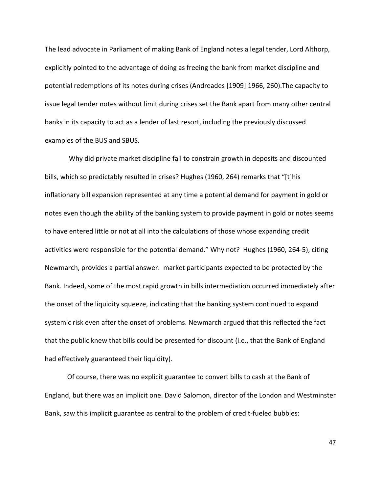The lead advocate in Parliament of making Bank of England notes a legal tender, Lord Althorp, explicitly pointed to the advantage of doing as freeing the bank from market discipline and potential redemptions of its notes during crises (Andreades [1909] 1966, 260).The capacity to issue legal tender notes without limit during crises set the Bank apart from many other central banks in its capacity to act as a lender of last resort, including the previously discussed examples of the BUS and SBUS.

Why did private market discipline fail to constrain growth in deposits and discounted bills, which so predictably resulted in crises? Hughes (1960, 264) remarks that "[t]his inflationary bill expansion represented at any time a potential demand for payment in gold or notes even though the ability of the banking system to provide payment in gold or notes seems to have entered little or not at all into the calculations of those whose expanding credit activities were responsible for the potential demand." Why not? Hughes (1960, 264‐5), citing Newmarch, provides a partial answer: market participants expected to be protected by the Bank. Indeed, some of the most rapid growth in bills intermediation occurred immediately after the onset of the liquidity squeeze, indicating that the banking system continued to expand systemic risk even after the onset of problems. Newmarch argued that this reflected the fact that the public knew that bills could be presented for discount (i.e., that the Bank of England had effectively guaranteed their liquidity).

Of course, there was no explicit guarantee to convert bills to cash at the Bank of England, but there was an implicit one. David Salomon, director of the London and Westminster Bank, saw this implicit guarantee as central to the problem of credit‐fueled bubbles: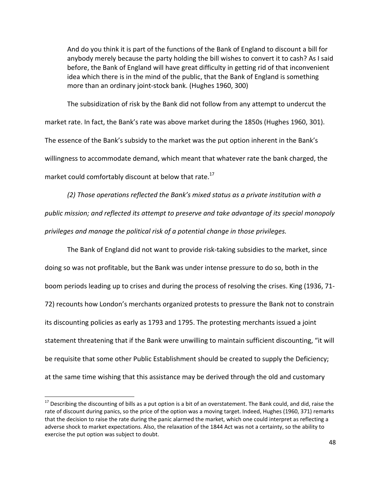And do you think it is part of the functions of the Bank of England to discount a bill for anybody merely because the party holding the bill wishes to convert it to cash? As I said before, the Bank of England will have great difficulty in getting rid of that inconvenient idea which there is in the mind of the public, that the Bank of England is something more than an ordinary joint‐stock bank. (Hughes 1960, 300)

The subsidization of risk by the Bank did not follow from any attempt to undercut the market rate. In fact, the Bank's rate was above market during the 1850s (Hughes 1960, 301). The essence of the Bank's subsidy to the market was the put option inherent in the Bank's willingness to accommodate demand, which meant that whatever rate the bank charged, the market could comfortably discount at below that rate.<sup>17</sup>

*(2) Those operations reflected the Bank's mixed status as a private institution with a public mission; and reflected its attempt to preserve and take advantage of its special monopoly privileges and manage the political risk of a potential change in those privileges.*

The Bank of England did not want to provide risk‐taking subsidies to the market, since doing so was not profitable, but the Bank was under intense pressure to do so, both in the boom periods leading up to crises and during the process of resolving the crises. King (1936, 71‐ 72) recounts how London's merchants organized protests to pressure the Bank not to constrain its discounting policies as early as 1793 and 1795. The protesting merchants issued a joint statement threatening that if the Bank were unwilling to maintain sufficient discounting, "it will be requisite that some other Public Establishment should be created to supply the Deficiency; at the same time wishing that this assistance may be derived through the old and customary

<sup>&</sup>lt;sup>17</sup> Describing the discounting of bills as a put option is a bit of an overstatement. The Bank could, and did, raise the rate of discount during panics, so the price of the option was a moving target. Indeed, Hughes (1960, 371) remarks that the decision to raise the rate during the panic alarmed the market, which one could interpret as reflecting a adverse shock to market expectations. Also, the relaxation of the 1844 Act was not a certainty, so the ability to exercise the put option was subject to doubt.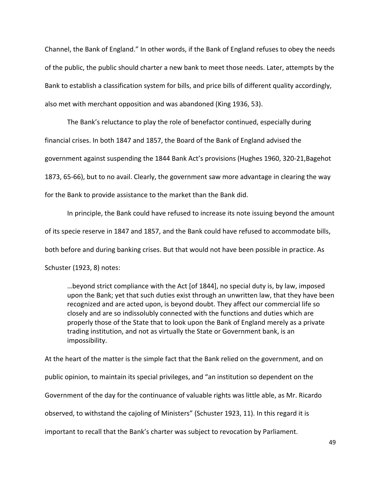Channel, the Bank of England." In other words, if the Bank of England refuses to obey the needs of the public, the public should charter a new bank to meet those needs. Later, attempts by the Bank to establish a classification system for bills, and price bills of different quality accordingly, also met with merchant opposition and was abandoned (King 1936, 53).

The Bank's reluctance to play the role of benefactor continued, especially during financial crises. In both 1847 and 1857, the Board of the Bank of England advised the government against suspending the 1844 Bank Act's provisions (Hughes 1960, 320‐21,Bagehot 1873, 65-66), but to no avail. Clearly, the government saw more advantage in clearing the way for the Bank to provide assistance to the market than the Bank did.

In principle, the Bank could have refused to increase its note issuing beyond the amount of its specie reserve in 1847 and 1857, and the Bank could have refused to accommodate bills, both before and during banking crises. But that would not have been possible in practice. As Schuster (1923, 8) notes:

…beyond strict compliance with the Act [of 1844], no special duty is, by law, imposed upon the Bank; yet that such duties exist through an unwritten law, that they have been recognized and are acted upon, is beyond doubt. They affect our commercial life so closely and are so indissolubly connected with the functions and duties which are properly those of the State that to look upon the Bank of England merely as a private trading institution, and not as virtually the State or Government bank, is an impossibility.

At the heart of the matter is the simple fact that the Bank relied on the government, and on public opinion, to maintain its special privileges, and "an institution so dependent on the Government of the day for the continuance of valuable rights was little able, as Mr. Ricardo observed, to withstand the cajoling of Ministers" (Schuster 1923, 11). In this regard it is important to recall that the Bank's charter was subject to revocation by Parliament.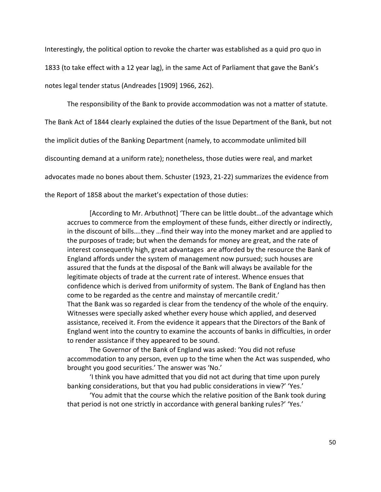Interestingly, the political option to revoke the charter was established as a quid pro quo in 1833 (to take effect with a 12 year lag), in the same Act of Parliament that gave the Bank's notes legal tender status (Andreades [1909] 1966, 262).

The responsibility of the Bank to provide accommodation was not a matter of statute. The Bank Act of 1844 clearly explained the duties of the Issue Department of the Bank, but not the implicit duties of the Banking Department (namely, to accommodate unlimited bill discounting demand at a uniform rate); nonetheless, those duties were real, and market advocates made no bones about them. Schuster (1923, 21‐22) summarizes the evidence from the Report of 1858 about the market's expectation of those duties:

[According to Mr. Arbuthnot] 'There can be little doubt…of the advantage which accrues to commerce from the employment of these funds, either directly or indirectly, in the discount of bills….they …find their way into the money market and are applied to the purposes of trade; but when the demands for money are great, and the rate of interest consequently high, great advantages are afforded by the resource the Bank of England affords under the system of management now pursued; such houses are assured that the funds at the disposal of the Bank will always be available for the legitimate objects of trade at the current rate of interest. Whence ensues that confidence which is derived from uniformity of system. The Bank of England has then come to be regarded as the centre and mainstay of mercantile credit.' That the Bank was so regarded is clear from the tendency of the whole of the enquiry. Witnesses were specially asked whether every house which applied, and deserved assistance, received it. From the evidence it appears that the Directors of the Bank of England went into the country to examine the accounts of banks in difficulties, in order to render assistance if they appeared to be sound.

The Governor of the Bank of England was asked: 'You did not refuse accommodation to any person, even up to the time when the Act was suspended, who brought you good securities.' The answer was 'No.'

'I think you have admitted that you did not act during that time upon purely banking considerations, but that you had public considerations in view?' 'Yes.'

'You admit that the course which the relative position of the Bank took during that period is not one strictly in accordance with general banking rules?' 'Yes.'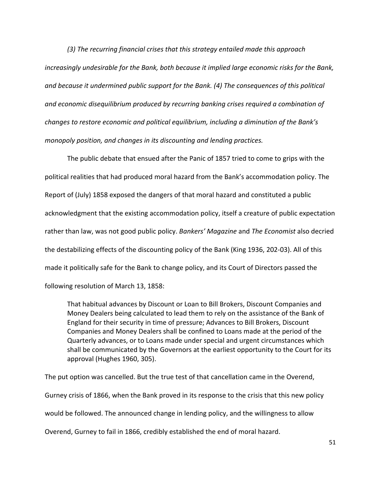*(3) The recurring financial crises that this strategy entailed made this approach increasingly undesirable for the Bank, both because it implied large economic risks for the Bank, and because it undermined public support for the Bank. (4) The consequences of this political and economic disequilibrium produced by recurring banking crises required a combination of changes to restore economic and political equilibrium, including a diminution of the Bank's monopoly position, and changes in its discounting and lending practices.* 

The public debate that ensued after the Panic of 1857 tried to come to grips with the political realities that had produced moral hazard from the Bank's accommodation policy. The Report of (July) 1858 exposed the dangers of that moral hazard and constituted a public acknowledgment that the existing accommodation policy, itself a creature of public expectation rather than law, was not good public policy. *Bankers' Magazine* and *The Economist* also decried the destabilizing effects of the discounting policy of the Bank (King 1936, 202‐03). All of this made it politically safe for the Bank to change policy, and its Court of Directors passed the following resolution of March 13, 1858:

That habitual advances by Discount or Loan to Bill Brokers, Discount Companies and Money Dealers being calculated to lead them to rely on the assistance of the Bank of England for their security in time of pressure; Advances to Bill Brokers, Discount Companies and Money Dealers shall be confined to Loans made at the period of the Quarterly advances, or to Loans made under special and urgent circumstances which shall be communicated by the Governors at the earliest opportunity to the Court for its approval (Hughes 1960, 305).

The put option was cancelled. But the true test of that cancellation came in the Overend, Gurney crisis of 1866, when the Bank proved in its response to the crisis that this new policy would be followed. The announced change in lending policy, and the willingness to allow Overend, Gurney to fail in 1866, credibly established the end of moral hazard.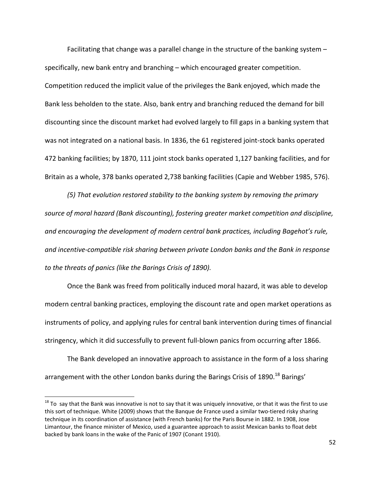Facilitating that change was a parallel change in the structure of the banking system – specifically, new bank entry and branching – which encouraged greater competition. Competition reduced the implicit value of the privileges the Bank enjoyed, which made the Bank less beholden to the state. Also, bank entry and branching reduced the demand for bill discounting since the discount market had evolved largely to fill gaps in a banking system that was not integrated on a national basis. In 1836, the 61 registered joint‐stock banks operated 472 banking facilities; by 1870, 111 joint stock banks operated 1,127 banking facilities, and for Britain as a whole, 378 banks operated 2,738 banking facilities (Capie and Webber 1985, 576).

*(5) That evolution restored stability to the banking system by removing the primary source of moral hazard (Bank discounting), fostering greater market competition and discipline, and encouraging the development of modern central bank practices, including Bagehot's rule, and incentive‐compatible risk sharing between private London banks and the Bank in response to the threats of panics (like the Barings Crisis of 1890).*

Once the Bank was freed from politically induced moral hazard, it was able to develop modern central banking practices, employing the discount rate and open market operations as instruments of policy, and applying rules for central bank intervention during times of financial stringency, which it did successfully to prevent full‐blown panics from occurring after 1866.

The Bank developed an innovative approach to assistance in the form of a loss sharing arrangement with the other London banks during the Barings Crisis of 1890.<sup>18</sup> Barings'

 $18$  To say that the Bank was innovative is not to say that it was uniquely innovative, or that it was the first to use this sort of technique. White (2009) shows that the Banque de France used a similar two‐tiered risky sharing technique in its coordination of assistance (with French banks) for the Paris Bourse in 1882. In 1908, Jose Limantour, the finance minister of Mexico, used a guarantee approach to assist Mexican banks to float debt backed by bank loans in the wake of the Panic of 1907 (Conant 1910).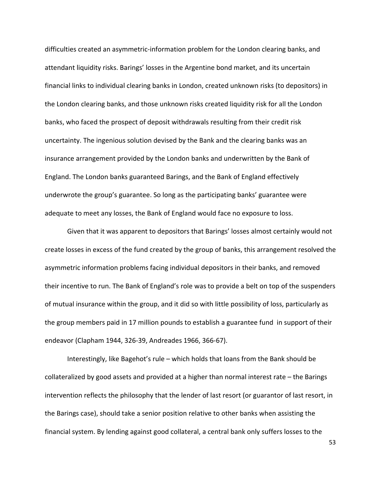difficulties created an asymmetric‐information problem for the London clearing banks, and attendant liquidity risks. Barings' losses in the Argentine bond market, and its uncertain financial links to individual clearing banks in London, created unknown risks (to depositors) in the London clearing banks, and those unknown risks created liquidity risk for all the London banks, who faced the prospect of deposit withdrawals resulting from their credit risk uncertainty. The ingenious solution devised by the Bank and the clearing banks was an insurance arrangement provided by the London banks and underwritten by the Bank of England. The London banks guaranteed Barings, and the Bank of England effectively underwrote the group's guarantee. So long as the participating banks' guarantee were adequate to meet any losses, the Bank of England would face no exposure to loss.

Given that it was apparent to depositors that Barings' losses almost certainly would not create losses in excess of the fund created by the group of banks, this arrangement resolved the asymmetric information problems facing individual depositors in their banks, and removed their incentive to run. The Bank of England's role was to provide a belt on top of the suspenders of mutual insurance within the group, and it did so with little possibility of loss, particularly as the group members paid in 17 million pounds to establish a guarantee fund in support of their endeavor (Clapham 1944, 326‐39, Andreades 1966, 366‐67).

Interestingly, like Bagehot's rule – which holds that loans from the Bank should be collateralized by good assets and provided at a higher than normal interest rate – the Barings intervention reflects the philosophy that the lender of last resort (or guarantor of last resort, in the Barings case), should take a senior position relative to other banks when assisting the financial system. By lending against good collateral, a central bank only suffers losses to the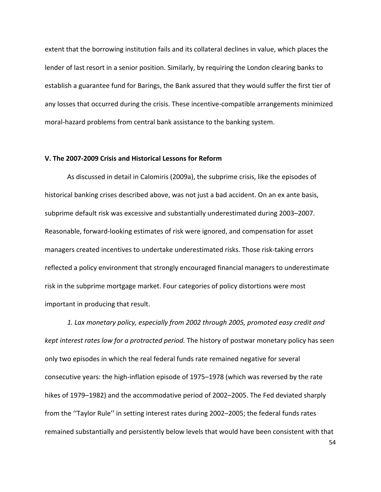extent that the borrowing institution fails and its collateral declines in value, which places the lender of last resort in a senior position. Similarly, by requiring the London clearing banks to establish a guarantee fund for Barings, the Bank assured that they would suffer the first tier of any losses that occurred during the crisis. These incentive-compatible arrangements minimized moral‐hazard problems from central bank assistance to the banking system.

### **V. The 2007‐2009 Crisis and Historical Lessons for Reform**

As discussed in detail in Calomiris (2009a), the subprime crisis, like the episodes of historical banking crises described above, was not just a bad accident. On an ex ante basis, subprime default risk was excessive and substantially underestimated during 2003–2007. Reasonable, forward‐looking estimates of risk were ignored, and compensation for asset managers created incentives to undertake underestimated risks. Those risk‐taking errors reflected a policy environment that strongly encouraged financial managers to underestimate risk in the subprime mortgage market. Four categories of policy distortions were most important in producing that result.

*1. Lax monetary policy, especially from 2002 through 2005, promoted easy credit and kept interest rates low for a protracted period.* The history of postwar monetary policy has seen only two episodes in which the real federal funds rate remained negative for several consecutive years: the high‐inflation episode of 1975–1978 (which was reversed by the rate hikes of 1979–1982) and the accommodative period of 2002–2005. The Fed deviated sharply from the ''Taylor Rule'' in setting interest rates during 2002–2005; the federal funds rates remained substantially and persistently below levels that would have been consistent with that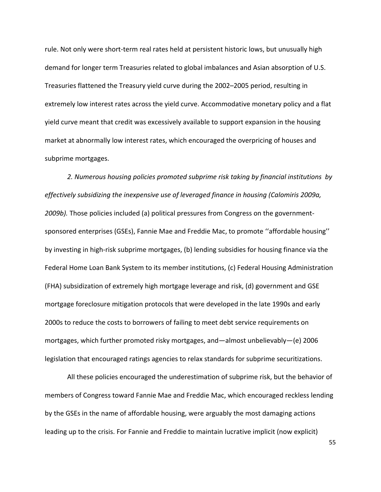rule. Not only were short‐term real rates held at persistent historic lows, but unusually high demand for longer term Treasuries related to global imbalances and Asian absorption of U.S. Treasuries flattened the Treasury yield curve during the 2002–2005 period, resulting in extremely low interest rates across the yield curve. Accommodative monetary policy and a flat yield curve meant that credit was excessively available to support expansion in the housing market at abnormally low interest rates, which encouraged the overpricing of houses and subprime mortgages.

*2. Numerous housing policies promoted subprime risk taking by financial institutions by effectively subsidizing the inexpensive use of leveraged finance in housing (Calomiris 2009a, 2009b).* Those policies included (a) political pressures from Congress on the government‐ sponsored enterprises (GSEs), Fannie Mae and Freddie Mac, to promote ''affordable housing'' by investing in high‐risk subprime mortgages, (b) lending subsidies for housing finance via the Federal Home Loan Bank System to its member institutions, (c) Federal Housing Administration (FHA) subsidization of extremely high mortgage leverage and risk, (d) government and GSE mortgage foreclosure mitigation protocols that were developed in the late 1990s and early 2000s to reduce the costs to borrowers of failing to meet debt service requirements on mortgages, which further promoted risky mortgages, and—almost unbelievably—(e) 2006 legislation that encouraged ratings agencies to relax standards for subprime securitizations.

All these policies encouraged the underestimation of subprime risk, but the behavior of members of Congress toward Fannie Mae and Freddie Mac, which encouraged reckless lending by the GSEs in the name of affordable housing, were arguably the most damaging actions leading up to the crisis. For Fannie and Freddie to maintain lucrative implicit (now explicit)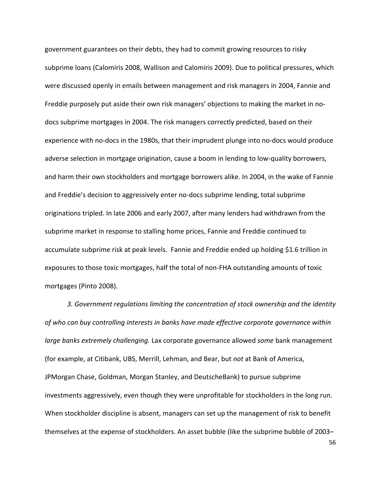government guarantees on their debts, they had to commit growing resources to risky subprime loans (Calomiris 2008, Wallison and Calomiris 2009). Due to political pressures, which were discussed openly in emails between management and risk managers in 2004, Fannie and Freddie purposely put aside their own risk managers' objections to making the market in nodocs subprime mortgages in 2004. The risk managers correctly predicted, based on their experience with no‐docs in the 1980s, that their imprudent plunge into no‐docs would produce adverse selection in mortgage origination, cause a boom in lending to low‐quality borrowers, and harm their own stockholders and mortgage borrowers alike. In 2004, in the wake of Fannie and Freddie's decision to aggressively enter no‐docs subprime lending, total subprime originations tripled. In late 2006 and early 2007, after many lenders had withdrawn from the subprime market in response to stalling home prices, Fannie and Freddie continued to accumulate subprime risk at peak levels. Fannie and Freddie ended up holding \$1.6 trillion in exposures to those toxic mortgages, half the total of non‐FHA outstanding amounts of toxic mortgages (Pinto 2008).

*3. Government regulations limiting the concentration of stock ownership and the identity of who can buy controlling interests in banks have made effective corporate governance within large banks extremely challenging.* Lax corporate governance allowed *some* bank management (for example, at Citibank, UBS, Merrill, Lehman, and Bear, but *not* at Bank of America, JPMorgan Chase, Goldman, Morgan Stanley, and DeutscheBank) to pursue subprime investments aggressively, even though they were unprofitable for stockholders in the long run. When stockholder discipline is absent, managers can set up the management of risk to benefit themselves at the expense of stockholders. An asset bubble (like the subprime bubble of 2003–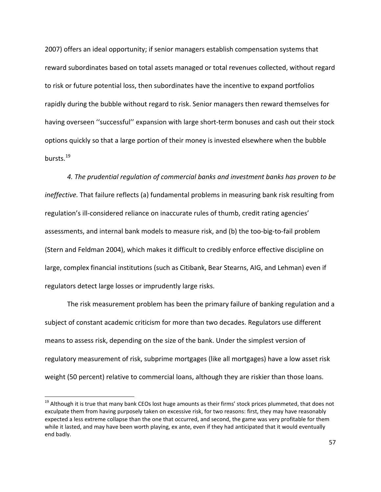2007) offers an ideal opportunity; if senior managers establish compensation systems that reward subordinates based on total assets managed or total revenues collected, without regard to risk or future potential loss, then subordinates have the incentive to expand portfolios rapidly during the bubble without regard to risk. Senior managers then reward themselves for having overseen "successful" expansion with large short-term bonuses and cash out their stock options quickly so that a large portion of their money is invested elsewhere when the bubble bursts.<sup>19</sup>

*4. The prudential regulation of commercial banks and investment banks has proven to be ineffective.* That failure reflects (a) fundamental problems in measuring bank risk resulting from regulation's ill‐considered reliance on inaccurate rules of thumb, credit rating agencies' assessments, and internal bank models to measure risk, and (b) the too‐big‐to‐fail problem (Stern and Feldman 2004), which makes it difficult to credibly enforce effective discipline on large, complex financial institutions (such as Citibank, Bear Stearns, AIG, and Lehman) even if regulators detect large losses or imprudently large risks.

The risk measurement problem has been the primary failure of banking regulation and a subject of constant academic criticism for more than two decades. Regulators use different means to assess risk, depending on the size of the bank. Under the simplest version of regulatory measurement of risk, subprime mortgages (like all mortgages) have a low asset risk weight (50 percent) relative to commercial loans, although they are riskier than those loans.

<sup>&</sup>lt;sup>19</sup> Although it is true that many bank CEOs lost huge amounts as their firms' stock prices plummeted, that does not exculpate them from having purposely taken on excessive risk, for two reasons: first, they may have reasonably expected a less extreme collapse than the one that occurred, and second, the game was very profitable for them while it lasted, and may have been worth playing, ex ante, even if they had anticipated that it would eventually end badly.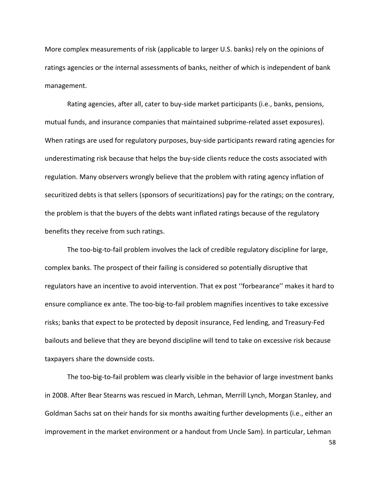More complex measurements of risk (applicable to larger U.S. banks) rely on the opinions of ratings agencies or the internal assessments of banks, neither of which is independent of bank management.

Rating agencies, after all, cater to buy‐side market participants (i.e., banks, pensions, mutual funds, and insurance companies that maintained subprime‐related asset exposures). When ratings are used for regulatory purposes, buy-side participants reward rating agencies for underestimating risk because that helps the buy‐side clients reduce the costs associated with regulation. Many observers wrongly believe that the problem with rating agency inflation of securitized debts is that sellers (sponsors of securitizations) pay for the ratings; on the contrary, the problem is that the buyers of the debts want inflated ratings because of the regulatory benefits they receive from such ratings.

The too‐big‐to‐fail problem involves the lack of credible regulatory discipline for large, complex banks. The prospect of their failing is considered so potentially disruptive that regulators have an incentive to avoid intervention. That ex post ''forbearance'' makes it hard to ensure compliance ex ante. The too-big-to-fail problem magnifies incentives to take excessive risks; banks that expect to be protected by deposit insurance, Fed lending, and Treasury‐Fed bailouts and believe that they are beyond discipline will tend to take on excessive risk because taxpayers share the downside costs.

The too‐big‐to‐fail problem was clearly visible in the behavior of large investment banks in 2008. After Bear Stearns was rescued in March, Lehman, Merrill Lynch, Morgan Stanley, and Goldman Sachs sat on their hands for six months awaiting further developments (i.e., either an improvement in the market environment or a handout from Uncle Sam). In particular, Lehman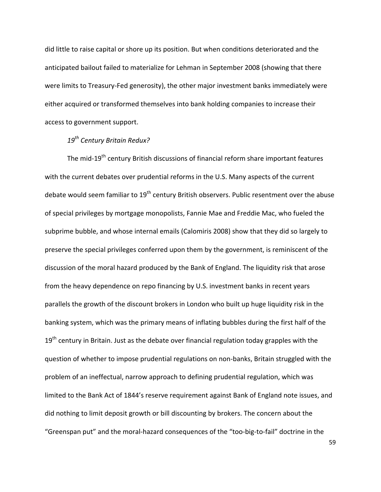did little to raise capital or shore up its position. But when conditions deteriorated and the anticipated bailout failed to materialize for Lehman in September 2008 (showing that there were limits to Treasury‐Fed generosity), the other major investment banks immediately were either acquired or transformed themselves into bank holding companies to increase their access to government support.

# *19th Century Britain Redux?*

The mid-19<sup>th</sup> century British discussions of financial reform share important features with the current debates over prudential reforms in the U.S. Many aspects of the current debate would seem familiar to 19<sup>th</sup> century British observers. Public resentment over the abuse of special privileges by mortgage monopolists, Fannie Mae and Freddie Mac, who fueled the subprime bubble, and whose internal emails (Calomiris 2008) show that they did so largely to preserve the special privileges conferred upon them by the government, is reminiscent of the discussion of the moral hazard produced by the Bank of England. The liquidity risk that arose from the heavy dependence on repo financing by U.S. investment banks in recent years parallels the growth of the discount brokers in London who built up huge liquidity risk in the banking system, which was the primary means of inflating bubbles during the first half of the  $19<sup>th</sup>$  century in Britain. Just as the debate over financial regulation today grapples with the question of whether to impose prudential regulations on non‐banks, Britain struggled with the problem of an ineffectual, narrow approach to defining prudential regulation, which was limited to the Bank Act of 1844's reserve requirement against Bank of England note issues, and did nothing to limit deposit growth or bill discounting by brokers. The concern about the "Greenspan put" and the moral‐hazard consequences of the "too‐big‐to‐fail" doctrine in the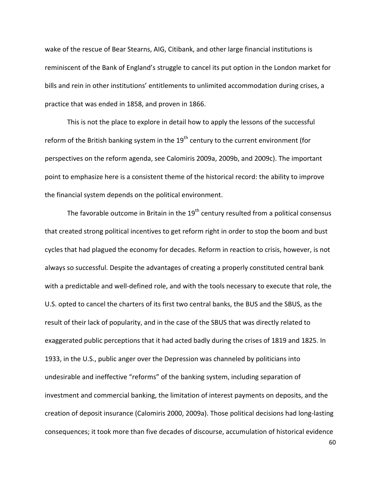wake of the rescue of Bear Stearns, AIG, Citibank, and other large financial institutions is reminiscent of the Bank of England's struggle to cancel its put option in the London market for bills and rein in other institutions' entitlements to unlimited accommodation during crises, a practice that was ended in 1858, and proven in 1866.

This is not the place to explore in detail how to apply the lessons of the successful reform of the British banking system in the  $19<sup>th</sup>$  century to the current environment (for perspectives on the reform agenda, see Calomiris 2009a, 2009b, and 2009c). The important point to emphasize here is a consistent theme of the historical record: the ability to improve the financial system depends on the political environment.

The favorable outcome in Britain in the  $19<sup>th</sup>$  century resulted from a political consensus that created strong political incentives to get reform right in order to stop the boom and bust cycles that had plagued the economy for decades. Reform in reaction to crisis, however, is not always so successful. Despite the advantages of creating a properly constituted central bank with a predictable and well-defined role, and with the tools necessary to execute that role, the U.S. opted to cancel the charters of its first two central banks, the BUS and the SBUS, as the result of their lack of popularity, and in the case of the SBUS that was directly related to exaggerated public perceptions that it had acted badly during the crises of 1819 and 1825. In 1933, in the U.S., public anger over the Depression was channeled by politicians into undesirable and ineffective "reforms" of the banking system, including separation of investment and commercial banking, the limitation of interest payments on deposits, and the creation of deposit insurance (Calomiris 2000, 2009a). Those political decisions had long‐lasting consequences; it took more than five decades of discourse, accumulation of historical evidence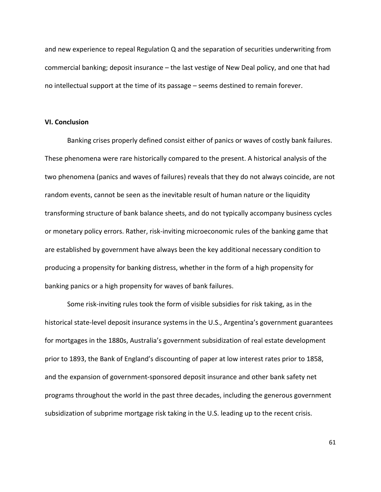and new experience to repeal Regulation Q and the separation of securities underwriting from commercial banking; deposit insurance – the last vestige of New Deal policy, and one that had no intellectual support at the time of its passage – seems destined to remain forever.

### **VI. Conclusion**

Banking crises properly defined consist either of panics or waves of costly bank failures. These phenomena were rare historically compared to the present. A historical analysis of the two phenomena (panics and waves of failures) reveals that they do not always coincide, are not random events, cannot be seen as the inevitable result of human nature or the liquidity transforming structure of bank balance sheets, and do not typically accompany business cycles or monetary policy errors. Rather, risk‐inviting microeconomic rules of the banking game that are established by government have always been the key additional necessary condition to producing a propensity for banking distress, whether in the form of a high propensity for banking panics or a high propensity for waves of bank failures.

Some risk‐inviting rules took the form of visible subsidies for risk taking, as in the historical state-level deposit insurance systems in the U.S., Argentina's government guarantees for mortgages in the 1880s, Australia's government subsidization of real estate development prior to 1893, the Bank of England's discounting of paper at low interest rates prior to 1858, and the expansion of government‐sponsored deposit insurance and other bank safety net programs throughout the world in the past three decades, including the generous government subsidization of subprime mortgage risk taking in the U.S. leading up to the recent crisis.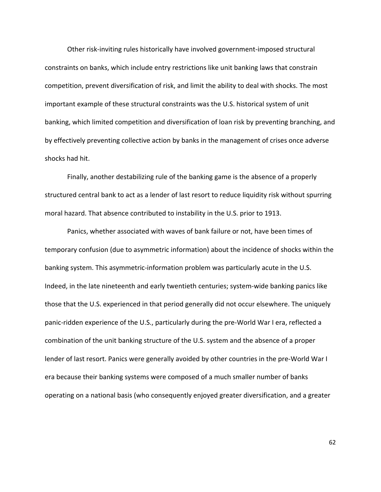Other risk‐inviting rules historically have involved government‐imposed structural constraints on banks, which include entry restrictions like unit banking laws that constrain competition, prevent diversification of risk, and limit the ability to deal with shocks. The most important example of these structural constraints was the U.S. historical system of unit banking, which limited competition and diversification of loan risk by preventing branching, and by effectively preventing collective action by banks in the management of crises once adverse shocks had hit.

Finally, another destabilizing rule of the banking game is the absence of a properly structured central bank to act as a lender of last resort to reduce liquidity risk without spurring moral hazard. That absence contributed to instability in the U.S. prior to 1913.

Panics, whether associated with waves of bank failure or not, have been times of temporary confusion (due to asymmetric information) about the incidence of shocks within the banking system. This asymmetric‐information problem was particularly acute in the U.S. Indeed, in the late nineteenth and early twentieth centuries; system-wide banking panics like those that the U.S. experienced in that period generally did not occur elsewhere. The uniquely panic‐ridden experience of the U.S., particularly during the pre‐World War I era, reflected a combination of the unit banking structure of the U.S. system and the absence of a proper lender of last resort. Panics were generally avoided by other countries in the pre‐World War I era because their banking systems were composed of a much smaller number of banks operating on a national basis (who consequently enjoyed greater diversification, and a greater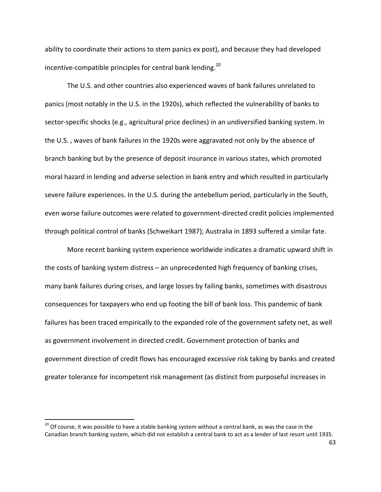ability to coordinate their actions to stem panics ex post), and because they had developed incentive-compatible principles for central bank lending.<sup>20</sup>

The U.S. and other countries also experienced waves of bank failures unrelated to panics (most notably in the U.S. in the 1920s), which reflected the vulnerability of banks to sector-specific shocks (e.g., agricultural price declines) in an undiversified banking system. In the U.S. , waves of bank failures in the 1920s were aggravated not only by the absence of branch banking but by the presence of deposit insurance in various states, which promoted moral hazard in lending and adverse selection in bank entry and which resulted in particularly severe failure experiences. In the U.S. during the antebellum period, particularly in the South, even worse failure outcomes were related to government‐directed credit policies implemented through political control of banks (Schweikart 1987); Australia in 1893 suffered a similar fate.

More recent banking system experience worldwide indicates a dramatic upward shift in the costs of banking system distress – an unprecedented high frequency of banking crises, many bank failures during crises, and large losses by failing banks, sometimes with disastrous consequences for taxpayers who end up footing the bill of bank loss. This pandemic of bank failures has been traced empirically to the expanded role of the government safety net, as well as government involvement in directed credit. Government protection of banks and government direction of credit flows has encouraged excessive risk taking by banks and created greater tolerance for incompetent risk management (as distinct from purposeful increases in

<sup>&</sup>lt;sup>20</sup> Of course, it was possible to have a stable banking system without a central bank, as was the case in the Canadian branch banking system, which did not establish a central bank to act as a lender of last resort until 1935.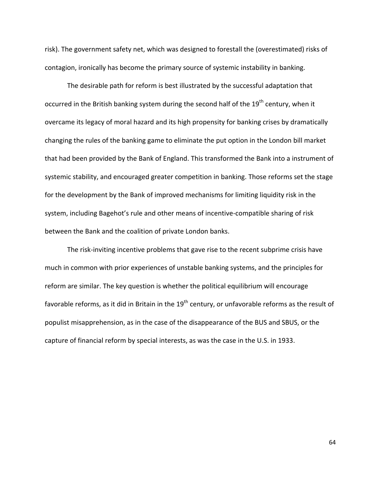risk). The government safety net, which was designed to forestall the (overestimated) risks of contagion, ironically has become the primary source of systemic instability in banking.

The desirable path for reform is best illustrated by the successful adaptation that occurred in the British banking system during the second half of the 19<sup>th</sup> century, when it overcame its legacy of moral hazard and its high propensity for banking crises by dramatically changing the rules of the banking game to eliminate the put option in the London bill market that had been provided by the Bank of England. This transformed the Bank into a instrument of systemic stability, and encouraged greater competition in banking. Those reforms set the stage for the development by the Bank of improved mechanisms for limiting liquidity risk in the system, including Bagehot's rule and other means of incentive-compatible sharing of risk between the Bank and the coalition of private London banks.

The risk‐inviting incentive problems that gave rise to the recent subprime crisis have much in common with prior experiences of unstable banking systems, and the principles for reform are similar. The key question is whether the political equilibrium will encourage favorable reforms, as it did in Britain in the  $19<sup>th</sup>$  century, or unfavorable reforms as the result of populist misapprehension, as in the case of the disappearance of the BUS and SBUS, or the capture of financial reform by special interests, as was the case in the U.S. in 1933.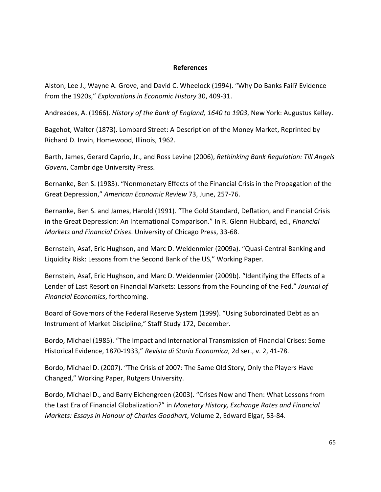## **References**

Alston, Lee J., Wayne A. Grove, and David C. Wheelock (1994). "Why Do Banks Fail? Evidence from the 1920s," *Explorations in Economic History* 30, 409‐31.

Andreades, A. (1966). *History of the Bank of England, 1640 to 1903*, New York: Augustus Kelley.

Bagehot, Walter (1873). Lombard Street: A Description of the Money Market, Reprinted by Richard D. Irwin, Homewood, Illinois, 1962.

Barth, James, Gerard Caprio, Jr., and Ross Levine (2006), *Rethinking Bank Regulation: Till Angels Govern*, Cambridge University Press.

Bernanke, Ben S. (1983). "Nonmonetary Effects of the Financial Crisis in the Propagation of the Great Depression," *American Economic Review* 73, June, 257‐76.

Bernanke, Ben S. and James, Harold (1991). "The Gold Standard, Deflation, and Financial Crisis in the Great Depression: An International Comparison." In R. Glenn Hubbard, ed., *Financial Markets and Financial Crises*. University of Chicago Press, 33‐68.

Bernstein, Asaf, Eric Hughson, and Marc D. Weidenmier (2009a). "Quasi-Central Banking and Liquidity Risk: Lessons from the Second Bank of the US," Working Paper.

Bernstein, Asaf, Eric Hughson, and Marc D. Weidenmier (2009b). "Identifying the Effects of a Lender of Last Resort on Financial Markets: Lessons from the Founding of the Fed," *Journal of Financial Economics*, forthcoming.

Board of Governors of the Federal Reserve System (1999). "Using Subordinated Debt as an Instrument of Market Discipline," Staff Study 172, December.

Bordo, Michael (1985). "The Impact and International Transmission of Financial Crises: Some Historical Evidence, 1870‐1933," *Revista di Storia Economica*, 2d ser., v. 2, 41‐78.

Bordo, Michael D. (2007). "The Crisis of 2007: The Same Old Story, Only the Players Have Changed," Working Paper, Rutgers University.

Bordo, Michael D., and Barry Eichengreen (2003). "Crises Now and Then: What Lessons from the Last Era of Financial Globalization?" in *Monetary History, Exchange Rates and Financial Markets: Essays in Honour of Charles Goodhart*, Volume 2, Edward Elgar, 53‐84.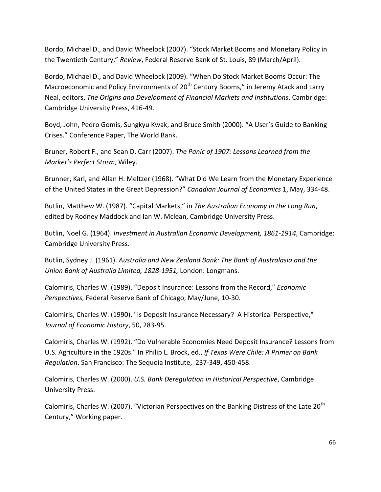Bordo, Michael D., and David Wheelock (2007). "Stock Market Booms and Monetary Policy in the Twentieth Century," *Review*, Federal Reserve Bank of St. Louis, 89 (March/April).

Bordo, Michael D., and David Wheelock (2009). "When Do Stock Market Booms Occur: The Macroeconomic and Policy Environments of 20<sup>th</sup> Century Booms," in Jeremy Atack and Larry Neal, editors, *The Origins and Development of Financial Markets and Institutions*, Cambridge: Cambridge University Press, 416‐49.

Boyd, John, Pedro Gomis, Sungkyu Kwak, and Bruce Smith (2000). "A User's Guide to Banking Crises." Conference Paper, The World Bank.

Bruner, Robert F., and Sean D. Carr (2007). *The Panic of 1907: Lessons Learned from the Market's Perfect Storm*, Wiley.

Brunner, Karl, and Allan H. Meltzer (1968). "What Did We Learn from the Monetary Experience of the United States in the Great Depression?" *Canadian Journal of Economics* 1, May, 334‐48.

Butlin, Matthew W. (1987). "Capital Markets," in *The Australian Economy in the Long Run*, edited by Rodney Maddock and Ian W. Mclean, Cambridge University Press.

Butlin, Noel G. (1964). *Investment in Australian Economic Development, 1861‐1914*, Cambridge: Cambridge University Press.

Butlin, Sydney J. (1961). *Australia and New Zealand Bank: The Bank of Australasia and the Union Bank of Australia Limited, 1828‐1951,* London: Longmans.

Calomiris, Charles W. (1989). "Deposit Insurance: Lessons from the Record," *Economic Perspectives*, Federal Reserve Bank of Chicago, May/June, 10‐30.

Calomiris, Charles W. (1990). "Is Deposit Insurance Necessary? A Historical Perspective," *Journal of Economic History*, 50, 283‐95.

Calomiris, Charles W. (1992). "Do Vulnerable Economies Need Deposit Insurance? Lessons from U.S. Agriculture in the 1920s." In Philip L. Brock, ed., *If Texas Were Chile: A Primer on Bank Regulation*. San Francisco: The Sequoia Institute, 237‐349, 450‐458.

Calomiris, Charles W. (2000). *U.S. Bank Deregulation in Historical Perspective*, Cambridge University Press.

Calomiris, Charles W. (2007). "Victorian Perspectives on the Banking Distress of the Late 20<sup>th</sup> Century," Working paper.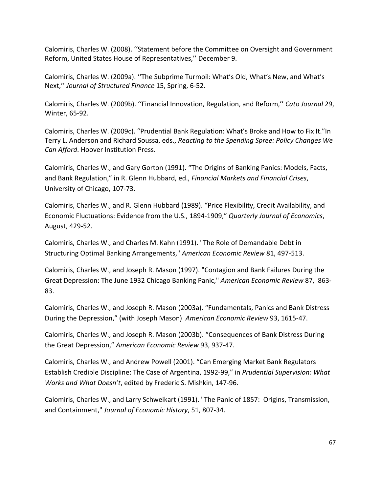Calomiris, Charles W. (2008). ''Statement before the Committee on Oversight and Government Reform, United States House of Representatives,'' December 9.

Calomiris, Charles W. (2009a). ''The Subprime Turmoil: What's Old, What's New, and What's Next,'' *Journal of Structured Finance* 15, Spring, 6‐52.

Calomiris, Charles W. (2009b). ''Financial Innovation, Regulation, and Reform,'' *Cato Journal* 29, Winter, 65‐92.

Calomiris, Charles W. (2009c). "Prudential Bank Regulation: What's Broke and How to Fix It."In Terry L. Anderson and Richard Soussa, eds., *Reacting to the Spending Spree: Policy Changes We Can Afford*. Hoover Institution Press.

Calomiris, Charles W., and Gary Gorton (1991). "The Origins of Banking Panics: Models, Facts, and Bank Regulation," in R. Glenn Hubbard, ed., *Financial Markets and Financial Crises*, University of Chicago, 107‐73.

Calomiris, Charles W., and R. Glenn Hubbard (1989). "Price Flexibility, Credit Availability, and Economic Fluctuations: Evidence from the U.S., 1894‐1909," *Quarterly Journal of Economics*, August, 429‐52.

Calomiris, Charles W., and Charles M. Kahn (1991). "The Role of Demandable Debt in Structuring Optimal Banking Arrangements," *American Economic Review* 81, 497‐513.

Calomiris, Charles W., and Joseph R. Mason (1997). "Contagion and Bank Failures During the Great Depression: The June 1932 Chicago Banking Panic," *American Economic Review* 87, 863‐ 83.

Calomiris, Charles W., and Joseph R. Mason (2003a). "Fundamentals, Panics and Bank Distress During the Depression," (with Joseph Mason) *American Economic Review* 93, 1615‐47.

Calomiris, Charles W., and Joseph R. Mason (2003b). "Consequences of Bank Distress During the Great Depression," *American Economic Review* 93, 937‐47.

Calomiris, Charles W., and Andrew Powell (2001). "Can Emerging Market Bank Regulators Establish Credible Discipline: The Case of Argentina, 1992‐99," in *Prudential Supervision: What Works and What Doesn't*, edited by Frederic S. Mishkin, 147‐96.

Calomiris, Charles W., and Larry Schweikart (1991). "The Panic of 1857: Origins, Transmission, and Containment," *Journal of Economic History*, 51, 807‐34.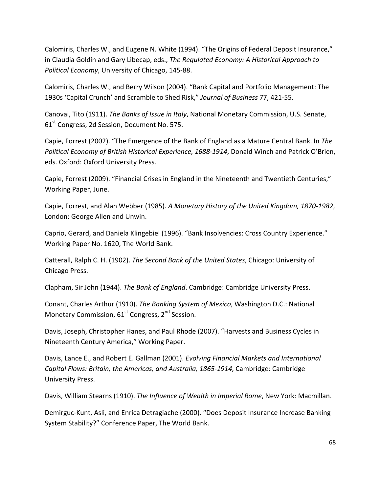Calomiris, Charles W., and Eugene N. White (1994). "The Origins of Federal Deposit Insurance," in Claudia Goldin and Gary Libecap, eds., *The Regulated Economy: A Historical Approach to Political Economy*, University of Chicago, 145‐88.

Calomiris, Charles W., and Berry Wilson (2004). "Bank Capital and Portfolio Management: The 1930s 'Capital Crunch' and Scramble to Shed Risk," *Journal of Business* 77, 421‐55.

Canovai, Tito (1911). *The Banks of Issue in Italy*, National Monetary Commission, U.S. Senate, 61<sup>st</sup> Congress, 2d Session, Document No. 575.

Capie, Forrest (2002). "The Emergence of the Bank of England as a Mature Central Bank. In *The Political Economy of British Historical Experience, 1688‐1914*, Donald Winch and Patrick O'Brien, eds. Oxford: Oxford University Press.

Capie, Forrest (2009). "Financial Crises in England in the Nineteenth and Twentieth Centuries," Working Paper, June.

Capie, Forrest, and Alan Webber (1985). *A Monetary History of the United Kingdom, 1870‐1982*, London: George Allen and Unwin.

Caprio, Gerard, and Daniela Klingebiel (1996). "Bank Insolvencies: Cross Country Experience." Working Paper No. 1620, The World Bank.

Catterall, Ralph C. H. (1902). *The Second Bank of the United States*, Chicago: University of Chicago Press.

Clapham, Sir John (1944). *The Bank of England*. Cambridge: Cambridge University Press.

Conant, Charles Arthur (1910). *The Banking System of Mexico*, Washington D.C.: National Monetary Commission, 61<sup>st</sup> Congress, 2<sup>nd</sup> Session.

Davis, Joseph, Christopher Hanes, and Paul Rhode (2007). "Harvests and Business Cycles in Nineteenth Century America," Working Paper.

Davis, Lance E., and Robert E. Gallman (2001). *Evolving Financial Markets and International Capital Flows: Britain, the Americas, and Australia, 1865‐1914*, Cambridge: Cambridge University Press.

Davis, William Stearns (1910). *The Influence of Wealth in Imperial Rome*, New York: Macmillan.

Demirguc‐Kunt, Asli, and Enrica Detragiache (2000). "Does Deposit Insurance Increase Banking System Stability?" Conference Paper, The World Bank.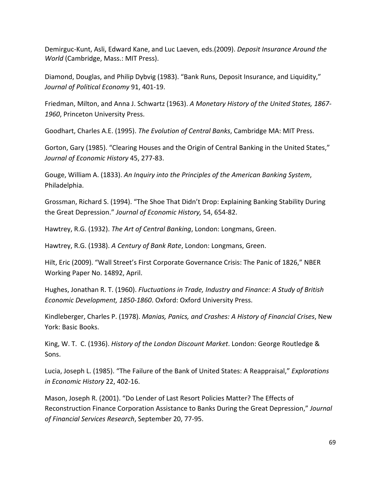Demirguc‐Kunt, Asli, Edward Kane, and Luc Laeven, eds.(2009). *Deposit Insurance Around the World* (Cambridge, Mass.: MIT Press).

Diamond, Douglas, and Philip Dybvig (1983). "Bank Runs, Deposit Insurance, and Liquidity," *Journal of Political Economy* 91, 401‐19.

Friedman, Milton, and Anna J. Schwartz (1963). *A Monetary History of the United States, 1867‐ 1960*, Princeton University Press.

Goodhart, Charles A.E. (1995). *The Evolution of Central Banks*, Cambridge MA: MIT Press.

Gorton, Gary (1985). "Clearing Houses and the Origin of Central Banking in the United States," *Journal of Economic History* 45, 277‐83.

Gouge, William A. (1833). *An Inquiry into the Principles of the American Banking System*, Philadelphia.

Grossman, Richard S. (1994). "The Shoe That Didn't Drop: Explaining Banking Stability During the Great Depression." *Journal of Economic History,* 54, 654‐82.

Hawtrey, R.G. (1932). *The Art of Central Banking*, London: Longmans, Green.

Hawtrey, R.G. (1938). *A Century of Bank Rate*, London: Longmans, Green.

Hilt, Eric (2009). "Wall Street's First Corporate Governance Crisis: The Panic of 1826," NBER Working Paper No. 14892, April.

Hughes, Jonathan R. T. (1960). *Fluctuations in Trade, Industry and Finance: A Study of British Economic Development, 1850‐1860*. Oxford: Oxford University Press.

Kindleberger, Charles P. (1978). *Manias, Panics, and Crashes: A History of Financial Crises*, New York: Basic Books.

King, W. T. C. (1936). *History of the London Discount Market*. London: George Routledge & Sons.

Lucia, Joseph L. (1985). "The Failure of the Bank of United States: A Reappraisal," *Explorations in Economic History* 22, 402‐16.

Mason, Joseph R. (2001). "Do Lender of Last Resort Policies Matter? The Effects of Reconstruction Finance Corporation Assistance to Banks During the Great Depression," *Journal of Financial Services Research*, September 20, 77‐95.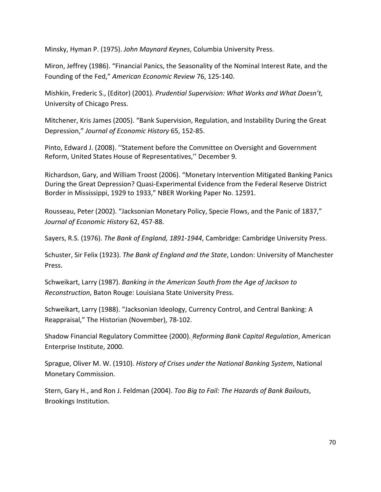Minsky, Hyman P. (1975). *John Maynard Keynes*, Columbia University Press.

Miron, Jeffrey (1986). "Financial Panics, the Seasonality of the Nominal Interest Rate, and the Founding of the Fed," *American Economic Review* 76, 125‐140.

Mishkin, Frederic S., (Editor) (2001). *Prudential Supervision: What Works and What Doesn't,* University of Chicago Press.

Mitchener, Kris James (2005). "Bank Supervision, Regulation, and Instability During the Great Depression," *Journal of Economic History* 65, 152‐85.

Pinto, Edward J. (2008). ''Statement before the Committee on Oversight and Government Reform, United States House of Representatives,'' December 9.

Richardson, Gary, and William Troost (2006). "Monetary Intervention Mitigated Banking Panics During the Great Depression? Quasi‐Experimental Evidence from the Federal Reserve District Border in Mississippi, 1929 to 1933," NBER Working Paper No. 12591.

Rousseau, Peter (2002). "Jacksonian Monetary Policy, Specie Flows, and the Panic of 1837," *Journal of Economic History* 62, 457‐88.

Sayers, R.S. (1976). *The Bank of England, 1891‐1944*, Cambridge: Cambridge University Press.

Schuster, Sir Felix (1923). *The Bank of England and the State*, London: University of Manchester Press.

Schweikart, Larry (1987). *Banking in the American South from the Age of Jackson to Reconstruction*, Baton Rouge: Louisiana State University Press.

Schweikart, Larry (1988). "Jacksonian Ideology, Currency Control, and Central Banking: A Reappraisal," The Historian (November), 78‐102.

Shadow Financial Regulatory Committee (2000). *Reforming Bank Capital Regulation*, American Enterprise Institute, 2000.

Sprague, Oliver M. W. (1910). *History of Crises under the National Banking System*, National Monetary Commission.

Stern, Gary H., and Ron J. Feldman (2004). *Too Big to Fail: The Hazards of Bank Bailouts*, Brookings Institution.